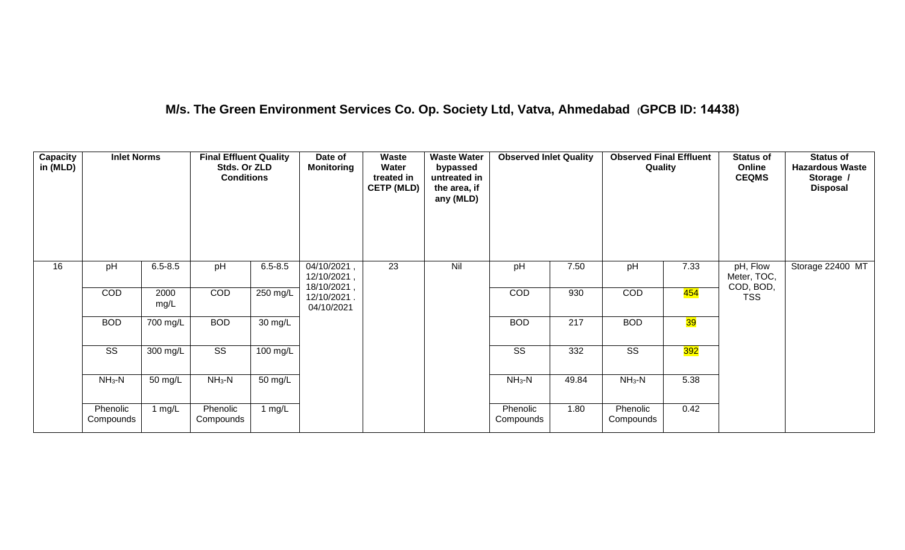## **M/s. The Green Environment Services Co. Op. Society Ltd, Vatva, Ahmedabad (GPCB ID: 14438)**

| Capacity<br>in (MLD) | <b>Inlet Norms</b>    |              | <b>Final Effluent Quality</b><br>Stds. Or ZLD<br><b>Conditions</b> |             | Date of<br><b>Monitoring</b>              | <b>Waste</b><br>Water<br>treated in<br><b>CETP (MLD)</b> | <b>Waste Water</b><br>bypassed<br>untreated in<br>the area, if<br>any (MLD) | <b>Observed Inlet Quality</b> |       | <b>Observed Final Effluent</b><br>Quality |      | <b>Status of</b><br>Online<br><b>CEQMS</b> | <b>Status of</b><br><b>Hazardous Waste</b><br>Storage /<br><b>Disposal</b> |
|----------------------|-----------------------|--------------|--------------------------------------------------------------------|-------------|-------------------------------------------|----------------------------------------------------------|-----------------------------------------------------------------------------|-------------------------------|-------|-------------------------------------------|------|--------------------------------------------|----------------------------------------------------------------------------|
| 16                   | pH                    | $6.5 - 8.5$  | $p\overline{H}$                                                    | $6.5 - 8.5$ | 04/10/2021,<br>12/10/2021,<br>18/10/2021, | $\overline{23}$                                          | Nil                                                                         | pH                            | 7.50  | pH                                        | 7.33 | pH, Flow<br>Meter, TOC,<br>COD, BOD,       | Storage 22400 MT                                                           |
|                      | COD                   | 2000<br>mg/L | COD                                                                | 250 mg/L    | 12/10/2021.<br>04/10/2021                 |                                                          |                                                                             | COD                           | 930   | COD                                       | 454  | <b>TSS</b>                                 |                                                                            |
|                      | <b>BOD</b>            | 700 mg/L     | <b>BOD</b>                                                         | 30 mg/L     |                                           |                                                          |                                                                             | <b>BOD</b>                    | 217   | <b>BOD</b>                                | 39   |                                            |                                                                            |
|                      | SS                    | 300 mg/L     | $\overline{\text{ss}}$                                             | 100 mg/L    |                                           |                                                          |                                                                             | SS                            | 332   | $\overline{\text{ss}}$                    | 392  |                                            |                                                                            |
|                      | $NH3-N$               | 50 mg/L      | $NH3-N$                                                            | 50 mg/L     |                                           |                                                          |                                                                             | $NH3-N$                       | 49.84 | $NH3-N$                                   | 5.38 |                                            |                                                                            |
|                      | Phenolic<br>Compounds | 1 $mg/L$     | Phenolic<br>Compounds                                              | 1 $mg/L$    |                                           |                                                          |                                                                             | Phenolic<br>Compounds         | 1.80  | Phenolic<br>Compounds                     | 0.42 |                                            |                                                                            |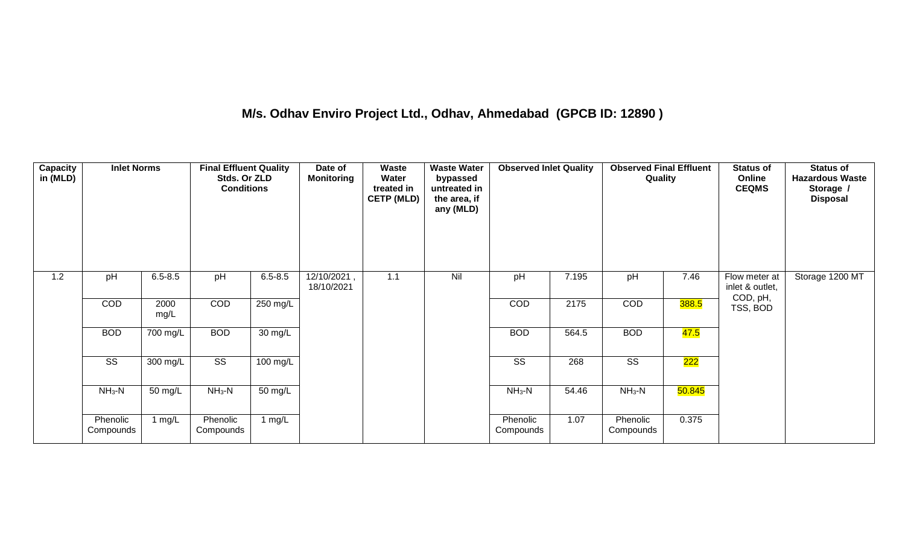## **M/s. Odhav Enviro Project Ltd., Odhav, Ahmedabad (GPCB ID: 12890 )**

| <b>Capacity</b><br>in (MLD) | <b>Inlet Norms</b>     |              | <b>Final Effluent Quality</b><br>Stds. Or ZLD<br><b>Conditions</b> |             | Date of<br><b>Monitoring</b> | Waste<br>Water<br>treated in<br><b>CETP (MLD)</b> | <b>Waste Water</b><br>bypassed<br>untreated in<br>the area, if<br>any (MLD) | <b>Observed Inlet Quality</b> |       | <b>Observed Final Effluent</b><br>Quality |        | <b>Status of</b><br>Online<br><b>CEQMS</b> | <b>Status of</b><br><b>Hazardous Waste</b><br>Storage /<br><b>Disposal</b> |
|-----------------------------|------------------------|--------------|--------------------------------------------------------------------|-------------|------------------------------|---------------------------------------------------|-----------------------------------------------------------------------------|-------------------------------|-------|-------------------------------------------|--------|--------------------------------------------|----------------------------------------------------------------------------|
| 1.2                         | pH                     | $6.5 - 8.5$  | pH                                                                 | $6.5 - 8.5$ | 12/10/2021,<br>18/10/2021    | 1.1                                               | Nil                                                                         | pH                            | 7.195 | pH                                        | 7.46   | Flow meter at<br>inlet & outlet,           | Storage 1200 MT                                                            |
|                             | COD                    | 2000<br>mg/L | COD                                                                | 250 mg/L    |                              |                                                   |                                                                             | COD                           | 2175  | COD                                       | 388.5  | COD, pH,<br>TSS, BOD                       |                                                                            |
|                             | <b>BOD</b>             | 700 mg/L     | <b>BOD</b>                                                         | 30 mg/L     |                              |                                                   |                                                                             | <b>BOD</b>                    | 564.5 | <b>BOD</b>                                | 47.5   |                                            |                                                                            |
|                             | $\overline{\text{ss}}$ | 300 mg/L     | $\overline{\text{SS}}$                                             | $100$ mg/L  |                              |                                                   |                                                                             | $\overline{\text{SS}}$        | 268   | $\overline{\text{SS}}$                    | 222    |                                            |                                                                            |
|                             | $NH3-N$                | 50 mg/L      | $NH3-N$                                                            | 50 mg/L     |                              |                                                   |                                                                             | $NH3-N$                       | 54.46 | $NH3-N$                                   | 50.845 |                                            |                                                                            |
|                             | Phenolic<br>Compounds  | 1 $mg/L$     | Phenolic<br>Compounds                                              | 1 $mg/L$    |                              |                                                   |                                                                             | Phenolic<br>Compounds         | 1.07  | Phenolic<br>Compounds                     | 0.375  |                                            |                                                                            |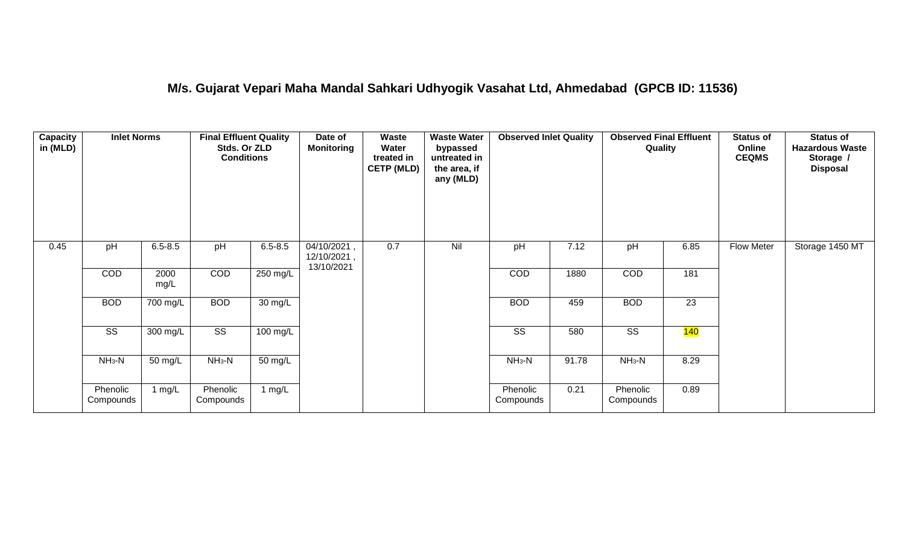#### **M/s. Gujarat Vepari Maha Mandal Sahkari Udhyogik Vasahat Ltd, Ahmedabad (GPCB ID: 11536)**

| <b>Capacity</b><br>in (MLD) | <b>Inlet Norms</b>     |              | <b>Final Effluent Quality</b><br>Stds. Or ZLD<br><b>Conditions</b> |                      | Date of<br><b>Monitoring</b>             | Waste<br>Water<br>treated in<br><b>CETP (MLD)</b> | <b>Waste Water</b><br>bypassed<br>untreated in<br>the area, if<br>any (MLD) | <b>Observed Inlet Quality</b> |       | <b>Observed Final Effluent</b><br>Quality |      | <b>Status of</b><br>Online<br><b>CEQMS</b> | <b>Status of</b><br><b>Hazardous Waste</b><br>Storage /<br><b>Disposal</b> |
|-----------------------------|------------------------|--------------|--------------------------------------------------------------------|----------------------|------------------------------------------|---------------------------------------------------|-----------------------------------------------------------------------------|-------------------------------|-------|-------------------------------------------|------|--------------------------------------------|----------------------------------------------------------------------------|
| 0.45                        | pH                     | $6.5 - 8.5$  | pH                                                                 | $6.5 - 8.5$          | 04/10/2021,<br>12/10/2021,<br>13/10/2021 | 0.7                                               | Nil                                                                         | pH                            | 7.12  | pH                                        | 6.85 | Flow Meter                                 | Storage 1450 MT                                                            |
|                             | COD                    | 2000<br>mg/L | COD                                                                | 250 mg/L             |                                          |                                                   |                                                                             | COD                           | 1880  | COD                                       | 181  |                                            |                                                                            |
|                             | <b>BOD</b>             | 700 mg/L     | <b>BOD</b>                                                         | 30 mg/L              |                                          |                                                   |                                                                             | <b>BOD</b>                    | 459   | <b>BOD</b>                                | 23   |                                            |                                                                            |
|                             | $\overline{\text{ss}}$ | 300 mg/L     | $\overline{\text{ss}}$                                             | $100$ mg/L           |                                          |                                                   |                                                                             | $\overline{\text{ss}}$        | 580   | $\overline{\text{ss}}$                    | 140  |                                            |                                                                            |
|                             | $NH3-N$                | 50 mg/L      | $NH3-N$                                                            | $\overline{50}$ mg/L |                                          |                                                   |                                                                             | $NH3-N$                       | 91.78 | $NH3-N$                                   | 8.29 |                                            |                                                                            |
|                             | Phenolic<br>Compounds  | 1 $mg/L$     | Phenolic<br>Compounds                                              | 1 mg/L               |                                          |                                                   |                                                                             | Phenolic<br>Compounds         | 0.21  | Phenolic<br>Compounds                     | 0.89 |                                            |                                                                            |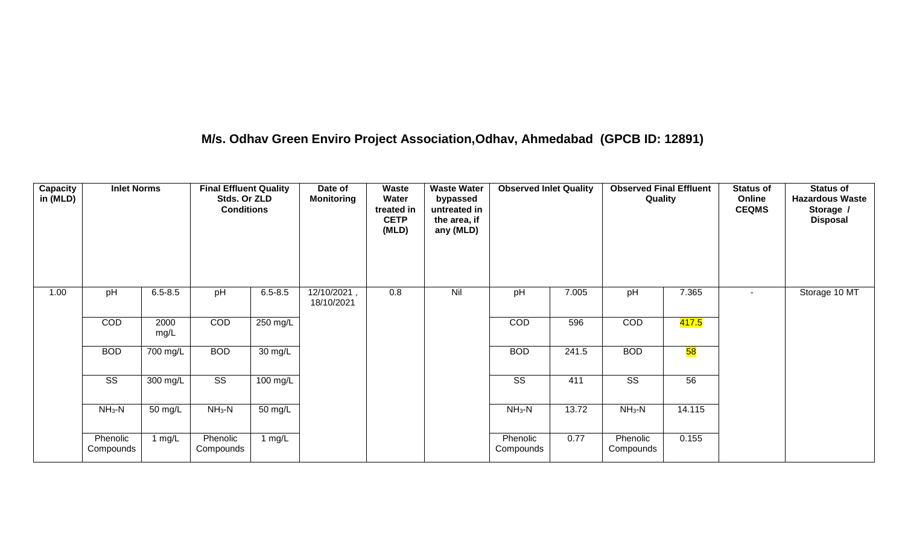## **M/s. Odhav Green Enviro Project Association,Odhav, Ahmedabad (GPCB ID: 12891)**

| Capacity<br>in (MLD) | <b>Inlet Norms</b>     |              | <b>Final Effluent Quality</b><br>Stds. Or ZLD<br><b>Conditions</b> |             | Date of<br><b>Monitoring</b> | Waste<br>Water<br>treated in<br><b>CETP</b><br>(MLD) | <b>Waste Water</b><br>bypassed<br>untreated in<br>the area, if<br>any (MLD) | <b>Observed Inlet Quality</b> |       | <b>Observed Final Effluent</b><br>Quality |                    | <b>Status of</b><br>Online<br><b>CEQMS</b> | <b>Status of</b><br><b>Hazardous Waste</b><br>Storage /<br><b>Disposal</b> |
|----------------------|------------------------|--------------|--------------------------------------------------------------------|-------------|------------------------------|------------------------------------------------------|-----------------------------------------------------------------------------|-------------------------------|-------|-------------------------------------------|--------------------|--------------------------------------------|----------------------------------------------------------------------------|
| 1.00                 | pH                     | $6.5 - 8.5$  | pH                                                                 | $6.5 - 8.5$ | 12/10/2021,<br>18/10/2021    | 0.8                                                  | Nil                                                                         | pH                            | 7.005 | pH                                        | 7.365              | $\sim$                                     | Storage 10 MT                                                              |
|                      | COD                    | 2000<br>mg/L | COD                                                                | 250 mg/L    |                              |                                                      |                                                                             | COD                           | 596   | COD                                       | <mark>417.5</mark> |                                            |                                                                            |
|                      | <b>BOD</b>             | 700 mg/L     | <b>BOD</b>                                                         | 30 mg/L     |                              |                                                      |                                                                             | <b>BOD</b>                    | 241.5 | <b>BOD</b>                                | 58                 |                                            |                                                                            |
|                      | $\overline{\text{SS}}$ | 300 mg/L     | $\overline{\text{ss}}$                                             | 100 mg/L    |                              |                                                      |                                                                             | $\overline{\text{ss}}$        | 411   | $\overline{\text{SS}}$                    | 56                 |                                            |                                                                            |
|                      | $NH3-N$                | 50 mg/L      | $NH_3-N$                                                           | 50 mg/L     |                              |                                                      |                                                                             | $NH3-N$                       | 13.72 | $NH_3-N$                                  | 14.115             |                                            |                                                                            |
|                      | Phenolic<br>Compounds  | 1 mg/L       | Phenolic<br>Compounds                                              | 1 $mg/L$    |                              |                                                      |                                                                             | Phenolic<br>Compounds         | 0.77  | Phenolic<br>Compounds                     | 0.155              |                                            |                                                                            |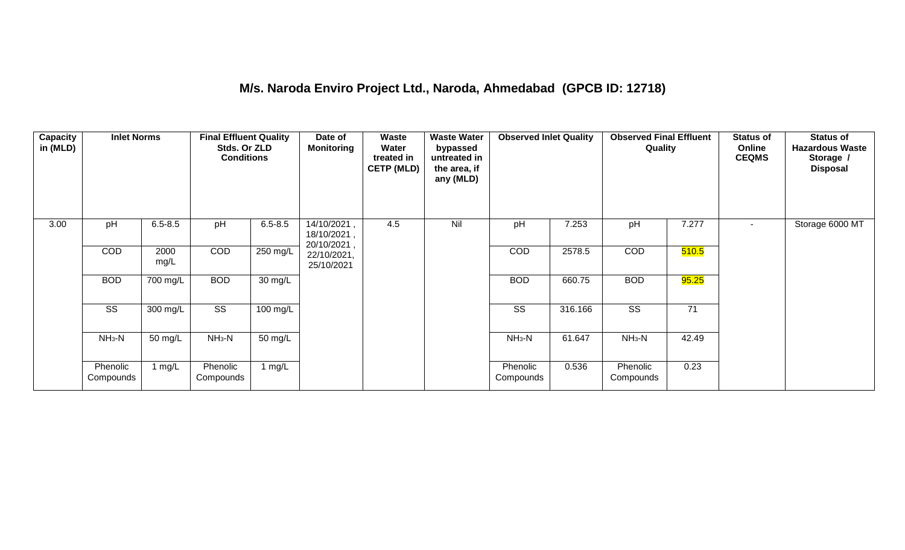#### **M/s. Naroda Enviro Project Ltd., Naroda, Ahmedabad (GPCB ID: 12718)**

| Capacity<br>in (MLD) | <b>Inlet Norms</b>    |              | <b>Final Effluent Quality</b><br>Stds. Or ZLD<br><b>Conditions</b> |                   | Date of<br><b>Monitoring</b>             | Waste<br>Water<br>treated in<br><b>CETP (MLD)</b> | <b>Waste Water</b><br>bypassed<br>untreated in<br>the area, if<br>any (MLD) | <b>Observed Inlet Quality</b> |         | <b>Observed Final Effluent</b><br>Quality |       | <b>Status of</b><br>Online<br><b>CEQMS</b> | <b>Status of</b><br><b>Hazardous Waste</b><br>Storage /<br><b>Disposal</b> |
|----------------------|-----------------------|--------------|--------------------------------------------------------------------|-------------------|------------------------------------------|---------------------------------------------------|-----------------------------------------------------------------------------|-------------------------------|---------|-------------------------------------------|-------|--------------------------------------------|----------------------------------------------------------------------------|
| 3.00                 | pH                    | $6.5 - 8.5$  | pH                                                                 | $6.5 - 8.5$       | 14/10/2021,<br>18/10/2021,               | 4.5                                               | Nil                                                                         | pH                            | 7.253   | pH                                        | 7.277 | $\sim$                                     | Storage 6000 MT                                                            |
|                      | <b>COD</b>            | 2000<br>mg/L | COD                                                                | 250 mg/L          | 20/10/2021,<br>22/10/2021,<br>25/10/2021 |                                                   |                                                                             | <b>COD</b>                    | 2578.5  | COD                                       | 510.5 |                                            |                                                                            |
|                      | <b>BOD</b>            | 700 mg/L     | <b>BOD</b>                                                         | 30 mg/L           |                                          |                                                   |                                                                             | <b>BOD</b>                    | 660.75  | <b>BOD</b>                                | 95.25 |                                            |                                                                            |
|                      | <b>SS</b>             | 300 mg/L     | $\overline{\text{ss}}$                                             | 100 mg/L          |                                          |                                                   |                                                                             | $\overline{\text{ss}}$        | 316.166 | $\overline{\text{SS}}$                    | 71    |                                            |                                                                            |
|                      | $NH_3-N$              | 50 mg/L      | $NH3-N$                                                            | $50 \text{ mg/L}$ |                                          |                                                   |                                                                             | $NH3-N$                       | 61.647  | $NH3-N$                                   | 42.49 |                                            |                                                                            |
|                      | Phenolic<br>Compounds | 1 $mg/L$     | Phenolic<br>Compounds                                              | 1 mg/L            |                                          |                                                   |                                                                             | Phenolic<br>Compounds         | 0.536   | Phenolic<br>Compounds                     | 0.23  |                                            |                                                                            |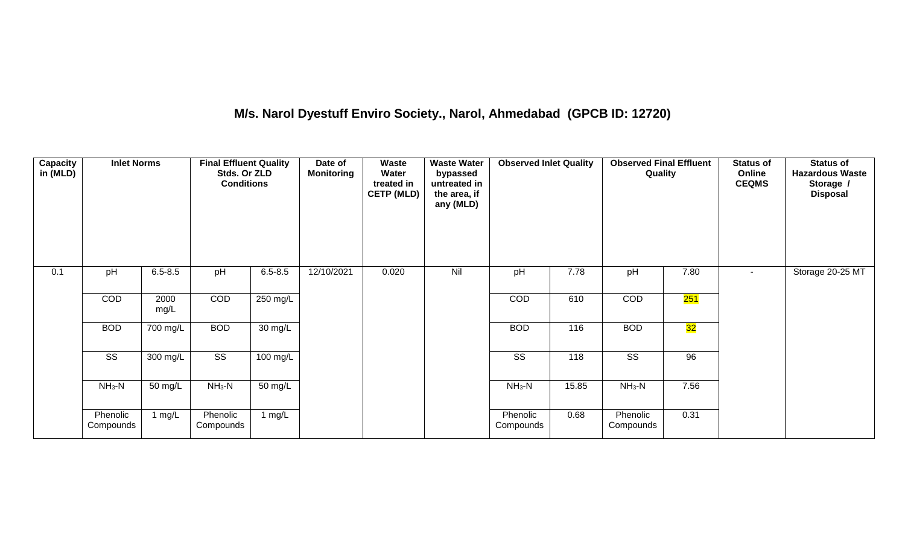## **M/s. Narol Dyestuff Enviro Society., Narol, Ahmedabad (GPCB ID: 12720)**

| <b>Capacity</b><br>in (MLD) | <b>Inlet Norms</b>     |              | <b>Final Effluent Quality</b><br>Stds. Or ZLD<br><b>Conditions</b> |                   | Date of<br><b>Monitoring</b> | <b>Waste</b><br>Water<br>treated in<br><b>CETP (MLD)</b> | <b>Waste Water</b><br>bypassed<br>untreated in<br>the area, if<br>any (MLD) | <b>Observed Inlet Quality</b> |       | <b>Observed Final Effluent</b><br>Quality |      | <b>Status of</b><br>Online<br><b>CEQMS</b> | <b>Status of</b><br><b>Hazardous Waste</b><br>Storage /<br><b>Disposal</b> |
|-----------------------------|------------------------|--------------|--------------------------------------------------------------------|-------------------|------------------------------|----------------------------------------------------------|-----------------------------------------------------------------------------|-------------------------------|-------|-------------------------------------------|------|--------------------------------------------|----------------------------------------------------------------------------|
| 0.1                         | pH                     | $6.5 - 8.5$  | pH                                                                 | $6.5 - 8.5$       | 12/10/2021                   | 0.020                                                    | Nil                                                                         | pH                            | 7.78  | pH                                        | 7.80 | $\sim$                                     | Storage 20-25 MT                                                           |
|                             | COD                    | 2000<br>mg/L | COD                                                                | 250 mg/L          |                              |                                                          |                                                                             | COD                           | 610   | COD                                       | 251  |                                            |                                                                            |
|                             | <b>BOD</b>             | 700 mg/L     | <b>BOD</b>                                                         | $30 \text{ mg/L}$ |                              |                                                          |                                                                             | <b>BOD</b>                    | 116   | <b>BOD</b>                                | 32   |                                            |                                                                            |
|                             | $\overline{\text{ss}}$ | 300 mg/L     | $\overline{\text{ss}}$                                             | $100$ mg/L        |                              |                                                          |                                                                             | $\overline{\text{ss}}$        | 118   | $\overline{\text{ss}}$                    | 96   |                                            |                                                                            |
|                             | $NH3-N$                | 50 mg/L      | $NH3-N$                                                            | $50 \text{ mg/L}$ |                              |                                                          |                                                                             | $NH3-N$                       | 15.85 | $NH3-N$                                   | 7.56 |                                            |                                                                            |
|                             | Phenolic<br>Compounds  | 1 mg/L       | Phenolic<br>Compounds                                              | 1 $mg/L$          |                              |                                                          |                                                                             | Phenolic<br>Compounds         | 0.68  | Phenolic<br>Compounds                     | 0.31 |                                            |                                                                            |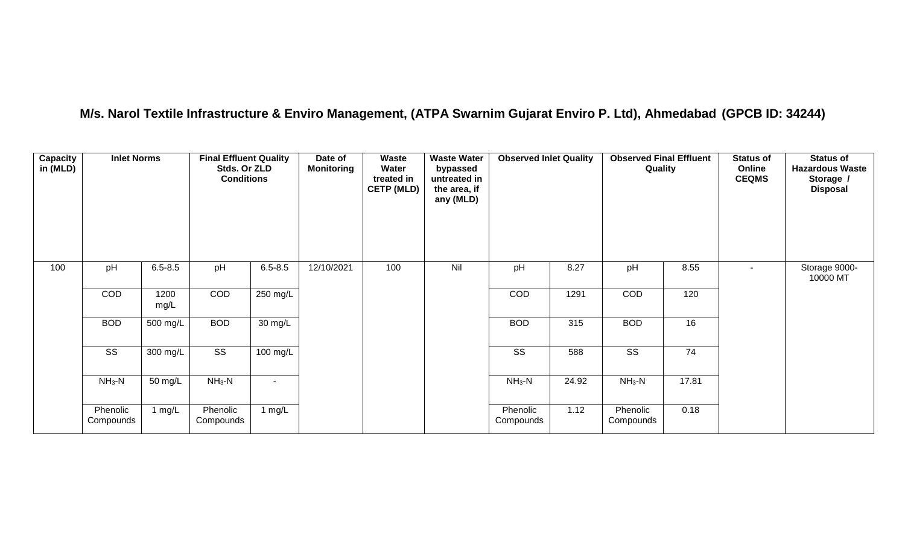## **M/s. Narol Textile Infrastructure & Enviro Management, (ATPA Swarnim Gujarat Enviro P. Ltd), Ahmedabad (GPCB ID: 34244)**

| <b>Capacity</b><br>in (MLD) | <b>Inlet Norms</b>     |              | <b>Final Effluent Quality</b><br>Stds. Or ZLD<br><b>Conditions</b> |             | Date of<br>Monitoring | Waste<br>Water<br>treated in<br><b>CETP (MLD)</b> | <b>Waste Water</b><br>bypassed<br>untreated in<br>the area, if<br>any (MLD) | <b>Observed Inlet Quality</b> |       | <b>Observed Final Effluent</b><br>Quality |       | <b>Status of</b><br>Online<br><b>CEQMS</b> | <b>Status of</b><br><b>Hazardous Waste</b><br>Storage /<br><b>Disposal</b> |
|-----------------------------|------------------------|--------------|--------------------------------------------------------------------|-------------|-----------------------|---------------------------------------------------|-----------------------------------------------------------------------------|-------------------------------|-------|-------------------------------------------|-------|--------------------------------------------|----------------------------------------------------------------------------|
| 100                         | pH                     | $6.5 - 8.5$  | pH                                                                 | $6.5 - 8.5$ | 12/10/2021            | 100                                               | Nil                                                                         | pH                            | 8.27  | pH                                        | 8.55  | $\blacksquare$                             | Storage 9000-<br>10000 MT                                                  |
|                             | COD                    | 1200<br>mg/L | COD                                                                | 250 mg/L    |                       |                                                   |                                                                             | COD                           | 1291  | COD                                       | 120   |                                            |                                                                            |
|                             | <b>BOD</b>             | 500 mg/L     | <b>BOD</b>                                                         | 30 mg/L     |                       |                                                   |                                                                             | <b>BOD</b>                    | 315   | <b>BOD</b>                                | 16    |                                            |                                                                            |
|                             | $\overline{\text{ss}}$ | 300 mg/L     | $\overline{\text{ss}}$                                             | 100 mg/L    |                       |                                                   |                                                                             | $\overline{\text{ss}}$        | 588   | $\overline{\text{SS}}$                    | 74    |                                            |                                                                            |
|                             | $NH3-N$                | 50 mg/L      | $NH3-N$                                                            |             |                       |                                                   |                                                                             | $NH_3-N$                      | 24.92 | $NH_3-N$                                  | 17.81 |                                            |                                                                            |
|                             | Phenolic<br>Compounds  | 1 $mg/L$     | Phenolic<br>Compounds                                              | 1 $mg/L$    |                       |                                                   |                                                                             | Phenolic<br>Compounds         | 1.12  | Phenolic<br>Compounds                     | 0.18  |                                            |                                                                            |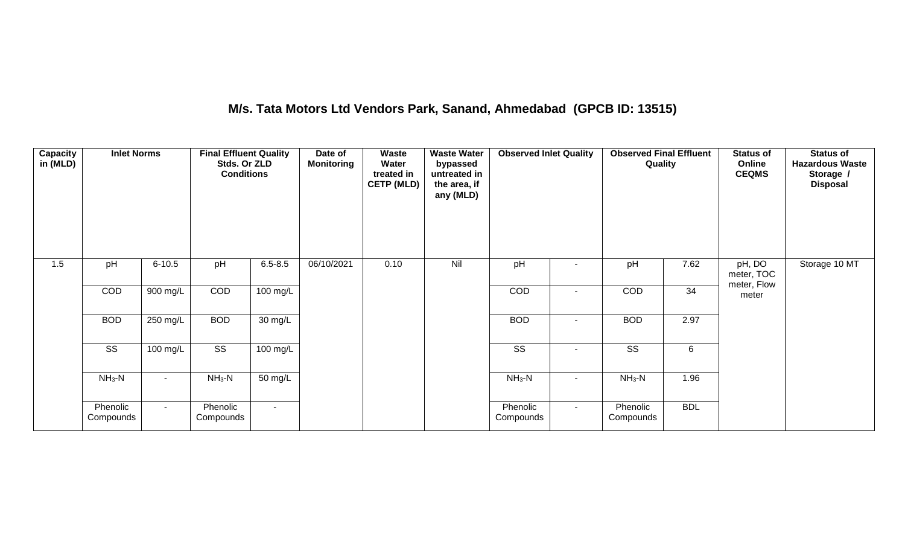## **M/s. Tata Motors Ltd Vendors Park, Sanand, Ahmedabad (GPCB ID: 13515)**

| Capacity<br>in (MLD) | <b>Inlet Norms</b>     |            | <b>Final Effluent Quality</b><br>Stds. Or ZLD<br><b>Conditions</b> |                      | Date of<br><b>Monitoring</b> | Waste<br>Water<br>treated in<br><b>CETP (MLD)</b> | <b>Waste Water</b><br>bypassed<br>untreated in<br>the area, if<br>any (MLD) | <b>Observed Inlet Quality</b> |        | <b>Observed Final Effluent</b><br>Quality |            | <b>Status of</b><br>Online<br><b>CEQMS</b> | <b>Status of</b><br><b>Hazardous Waste</b><br>Storage /<br><b>Disposal</b> |
|----------------------|------------------------|------------|--------------------------------------------------------------------|----------------------|------------------------------|---------------------------------------------------|-----------------------------------------------------------------------------|-------------------------------|--------|-------------------------------------------|------------|--------------------------------------------|----------------------------------------------------------------------------|
| 1.5                  | pH                     | $6 - 10.5$ | pH                                                                 | $6.5 - 8.5$          | 06/10/2021                   | 0.10                                              | Nil                                                                         | pH                            |        | pH                                        | 7.62       | pH, DO<br>meter, TOC<br>meter, Flow        | Storage 10 MT                                                              |
|                      | COD                    | 900 mg/L   | COD                                                                | 100 mg/L             |                              |                                                   |                                                                             | COD                           |        | COD                                       | 34         | meter                                      |                                                                            |
|                      | <b>BOD</b>             | 250 mg/L   | <b>BOD</b>                                                         | $\overline{30}$ mg/L |                              |                                                   |                                                                             | <b>BOD</b>                    | $\sim$ | <b>BOD</b>                                | 2.97       |                                            |                                                                            |
|                      | $\overline{\text{ss}}$ | $100$ mg/L | $\overline{\text{ss}}$                                             | $100$ mg/L           |                              |                                                   |                                                                             | $\overline{\text{ss}}$        | $\sim$ | $\overline{\text{ss}}$                    | 6          |                                            |                                                                            |
|                      | $NH3-N$                |            | $NH3-N$                                                            | 50 mg/L              |                              |                                                   |                                                                             | $NH3-N$                       |        | $NH3-N$                                   | 1.96       |                                            |                                                                            |
|                      | Phenolic<br>Compounds  | $\sim$     | Phenolic<br>Compounds                                              | $\sim$               |                              |                                                   |                                                                             | Phenolic<br>Compounds         | $\sim$ | Phenolic<br>Compounds                     | <b>BDL</b> |                                            |                                                                            |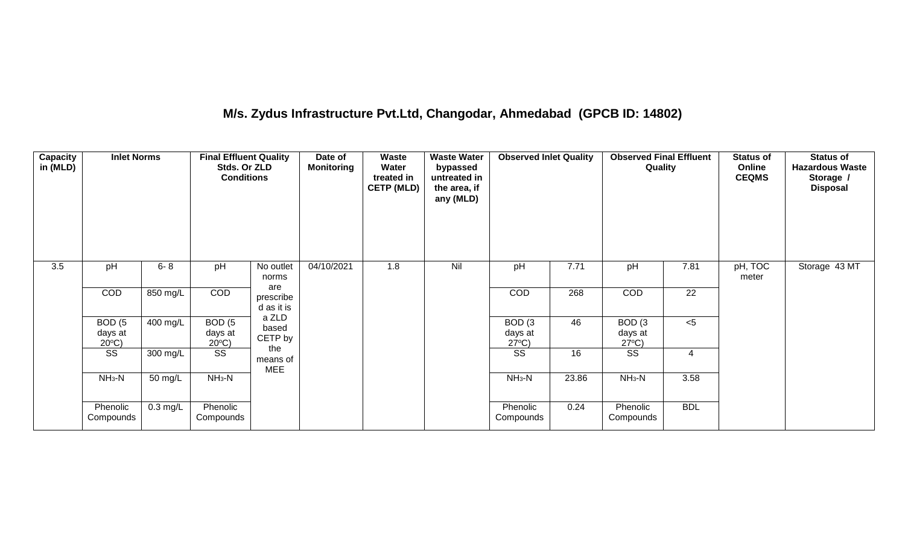## **M/s. Zydus Infrastructure Pvt.Ltd, Changodar, Ahmedabad (GPCB ID: 14802)**

| <b>Capacity</b><br>in (MLD) | <b>Inlet Norms</b>                              |            | <b>Final Effluent Quality</b><br>Stds. Or ZLD<br><b>Conditions</b> |                               | Date of<br><b>Monitoring</b> | <b>Waste</b><br>Water<br>treated in<br><b>CETP (MLD)</b> | <b>Waste Water</b><br>bypassed<br>untreated in<br>the area, if<br>any (MLD) | <b>Observed Inlet Quality</b>        |       | <b>Observed Final Effluent</b><br>Quality |            | <b>Status of</b><br>Online<br><b>CEQMS</b> | <b>Status of</b><br><b>Hazardous Waste</b><br>Storage /<br><b>Disposal</b> |
|-----------------------------|-------------------------------------------------|------------|--------------------------------------------------------------------|-------------------------------|------------------------------|----------------------------------------------------------|-----------------------------------------------------------------------------|--------------------------------------|-------|-------------------------------------------|------------|--------------------------------------------|----------------------------------------------------------------------------|
| 3.5                         | pH                                              | $6 - 8$    | pH                                                                 | No outlet<br>norms<br>are     | 04/10/2021                   | 1.8                                                      | Nil                                                                         | pH                                   | 7.71  | pH                                        | 7.81       | pH, TOC<br>meter                           | Storage 43 MT                                                              |
|                             | COD                                             | 850 mg/L   | COD                                                                | prescribe<br>d as it is       |                              |                                                          |                                                                             | COD                                  | 268   | COD                                       | 22         |                                            |                                                                            |
|                             | BOD <sub>(5</sub><br>days at<br>$20^{\circ}$ C) | 400 mg/L   | BOD(5)<br>days at<br>$20^{\circ}$ C)                               | a ZLD<br>based<br>CETP by     |                              |                                                          |                                                                             | BOD(3)<br>days at<br>$27^{\circ}C$ ) | 46    | BOD(3)<br>days at<br>$27^{\circ}C$ )      | $<$ 5      |                                            |                                                                            |
|                             | SS                                              | 300 mg/L   | $\overline{\text{SS}}$                                             | the<br>means of<br><b>MEE</b> |                              |                                                          |                                                                             | SS                                   | 16    | $\overline{\text{SS}}$                    | 4          |                                            |                                                                            |
|                             | $NH3-N$                                         | 50 mg/L    | $NH3-N$                                                            |                               |                              |                                                          |                                                                             | $NH3-N$                              | 23.86 | $NH3-N$                                   | 3.58       |                                            |                                                                            |
|                             | Phenolic<br>Compounds                           | $0.3$ mg/L | Phenolic<br>Compounds                                              |                               |                              |                                                          |                                                                             | Phenolic<br>Compounds                | 0.24  | Phenolic<br>Compounds                     | <b>BDL</b> |                                            |                                                                            |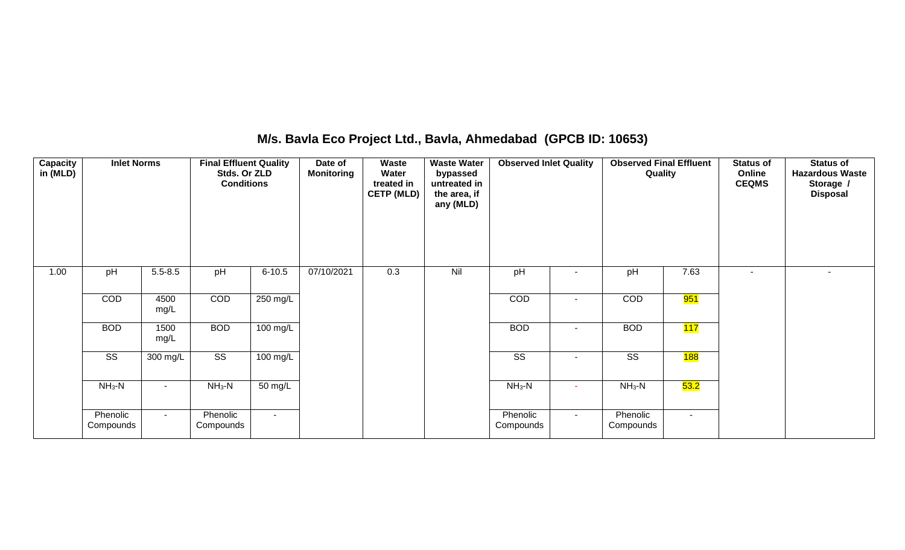## **M/s. Bavla Eco Project Ltd., Bavla, Ahmedabad (GPCB ID: 10653)**

| <b>Capacity</b><br>in (MLD) | <b>Inlet Norms</b>     |              | <b>Final Effluent Quality</b><br>Stds. Or ZLD<br><b>Conditions</b> |                    | Date of<br><b>Monitoring</b> | Waste<br>Water<br>treated in<br><b>CETP (MLD)</b> | <b>Waste Water</b><br>bypassed<br>untreated in<br>the area, if<br>any (MLD) | <b>Observed Inlet Quality</b> |                | <b>Observed Final Effluent</b><br>Quality |                  | <b>Status of</b><br>Online<br><b>CEQMS</b> | <b>Status of</b><br><b>Hazardous Waste</b><br>Storage /<br><b>Disposal</b> |
|-----------------------------|------------------------|--------------|--------------------------------------------------------------------|--------------------|------------------------------|---------------------------------------------------|-----------------------------------------------------------------------------|-------------------------------|----------------|-------------------------------------------|------------------|--------------------------------------------|----------------------------------------------------------------------------|
| 1.00                        | pH                     | $5.5 - 8.5$  | pH                                                                 | $6 - 10.5$         | 07/10/2021                   | 0.3                                               | Nil                                                                         | pH                            |                | pH                                        | 7.63             | $\overline{\phantom{a}}$                   |                                                                            |
|                             | COD                    | 4500<br>mg/L | COD                                                                | 250 mg/L           |                              |                                                   |                                                                             | COD                           | ۰              | COD                                       | <b>951</b>       |                                            |                                                                            |
|                             | <b>BOD</b>             | 1500<br>mg/L | <b>BOD</b>                                                         | $100 \text{ mg/L}$ |                              |                                                   |                                                                             | <b>BOD</b>                    | ۰              | <b>BOD</b>                                | 117              |                                            |                                                                            |
|                             | $\overline{\text{ss}}$ | 300 mg/L     | $\overline{\text{ss}}$                                             | 100 mg/L           |                              |                                                   |                                                                             | $\overline{\text{ss}}$        | $\blacksquare$ | $\overline{\text{SS}}$                    | <mark>188</mark> |                                            |                                                                            |
|                             | $NH3-N$                | $\sim$       | $NH3-N$                                                            | 50 mg/L            |                              |                                                   |                                                                             | $NH3-N$                       | ٠              | $NH3-N$                                   | 53.2             |                                            |                                                                            |
|                             | Phenolic<br>Compounds  | $\sim$       | Phenolic<br>Compounds                                              | $\sim$             |                              |                                                   |                                                                             | Phenolic<br>Compounds         | $\sim$         | Phenolic<br>Compounds                     | $\sim$           |                                            |                                                                            |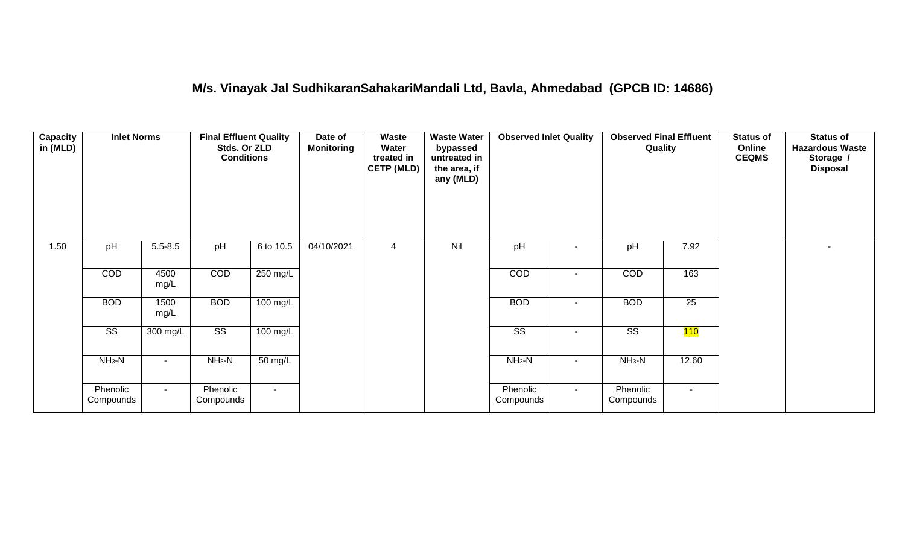## **M/s. Vinayak Jal SudhikaranSahakariMandali Ltd, Bavla, Ahmedabad (GPCB ID: 14686)**

| Capacity<br>in (MLD) | <b>Inlet Norms</b>     |              | <b>Final Effluent Quality</b><br>Stds. Or ZLD<br><b>Conditions</b> |                      | Date of<br><b>Monitoring</b> | Waste<br>Water<br>treated in<br><b>CETP (MLD)</b> | <b>Waste Water</b><br>bypassed<br>untreated in<br>the area, if<br>any (MLD) | <b>Observed Inlet Quality</b> |        | <b>Observed Final Effluent</b><br>Quality |        | <b>Status of</b><br>Online<br><b>CEQMS</b> | <b>Status of</b><br><b>Hazardous Waste</b><br>Storage /<br><b>Disposal</b> |
|----------------------|------------------------|--------------|--------------------------------------------------------------------|----------------------|------------------------------|---------------------------------------------------|-----------------------------------------------------------------------------|-------------------------------|--------|-------------------------------------------|--------|--------------------------------------------|----------------------------------------------------------------------------|
| 1.50                 | pH                     | $5.5 - 8.5$  | pH                                                                 | 6 to 10.5            | 04/10/2021                   | 4                                                 | Nil                                                                         | pH                            |        | pH                                        | 7.92   |                                            | $\sim$                                                                     |
|                      | COD                    | 4500<br>mg/L | COD                                                                | 250 mg/L             |                              |                                                   |                                                                             | COD                           |        | COD                                       | 163    |                                            |                                                                            |
|                      | <b>BOD</b>             | 1500<br>mg/L | <b>BOD</b>                                                         | 100 mg/L             |                              |                                                   |                                                                             | <b>BOD</b>                    | $\sim$ | <b>BOD</b>                                | 25     |                                            |                                                                            |
|                      | $\overline{\text{SS}}$ | 300 mg/L     | $\overline{\text{SS}}$                                             | $100 \text{ mg/L}$   |                              |                                                   |                                                                             | $\overline{\text{ss}}$        |        | $\overline{\text{ss}}$                    | 110    |                                            |                                                                            |
|                      | $NH3-N$                |              | $NH3-N$                                                            | $\overline{50}$ mg/L |                              |                                                   |                                                                             | $NH3-N$                       | $\sim$ | $NH3-N$                                   | 12.60  |                                            |                                                                            |
|                      | Phenolic<br>Compounds  | $\sim$       | Phenolic<br>Compounds                                              | $\sim$               |                              |                                                   |                                                                             | Phenolic<br>Compounds         | $\sim$ | Phenolic<br>Compounds                     | $\sim$ |                                            |                                                                            |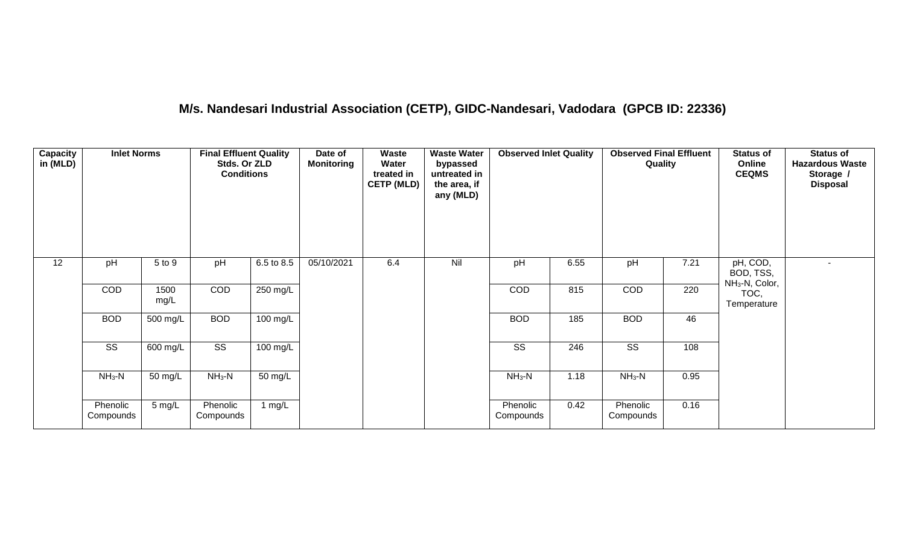## **M/s. Nandesari Industrial Association (CETP), GIDC-Nandesari, Vadodara (GPCB ID: 22336)**

| Capacity<br>in (MLD) | <b>Inlet Norms</b>     |              | <b>Final Effluent Quality</b><br>Stds. Or ZLD<br><b>Conditions</b> |                      | Date of<br><b>Monitoring</b> | <b>Waste</b><br>Water<br>treated in<br><b>CETP (MLD)</b> | <b>Waste Water</b><br>bypassed<br>untreated in<br>the area, if<br>any (MLD) | <b>Observed Inlet Quality</b> |      | <b>Observed Final Effluent</b><br>Quality |      | <b>Status of</b><br>Online<br><b>CEQMS</b>          | <b>Status of</b><br><b>Hazardous Waste</b><br>Storage /<br><b>Disposal</b> |
|----------------------|------------------------|--------------|--------------------------------------------------------------------|----------------------|------------------------------|----------------------------------------------------------|-----------------------------------------------------------------------------|-------------------------------|------|-------------------------------------------|------|-----------------------------------------------------|----------------------------------------------------------------------------|
| 12                   | pH                     | 5 to 9       | pH                                                                 | 6.5 to 8.5           | 05/10/2021                   | 6.4                                                      | Nil                                                                         | pH                            | 6.55 | pH                                        | 7.21 | pH, COD,<br>BOD, TSS,<br>NH <sub>3</sub> -N, Color, | $\sim$                                                                     |
|                      | COD                    | 1500<br>mg/L | COD                                                                | 250 mg/L             |                              |                                                          |                                                                             | COD                           | 815  | COD                                       | 220  | TOC,<br>Temperature                                 |                                                                            |
|                      | <b>BOD</b>             | 500 mg/L     | <b>BOD</b>                                                         | $100$ mg/L           |                              |                                                          |                                                                             | <b>BOD</b>                    | 185  | <b>BOD</b>                                | 46   |                                                     |                                                                            |
|                      | $\overline{\text{ss}}$ | 600 mg/L     | $\overline{\text{ss}}$                                             | $100$ mg/L           |                              |                                                          |                                                                             | $\overline{\text{ss}}$        | 246  | $\overline{\text{ss}}$                    | 108  |                                                     |                                                                            |
|                      | $NH_3-N$               | 50 mg/L      | $NH3-N$                                                            | $\overline{50}$ mg/L |                              |                                                          |                                                                             | $NH3-N$                       | 1.18 | $NH_3-N$                                  | 0.95 |                                                     |                                                                            |
|                      | Phenolic<br>Compounds  | 5 mg/L       | Phenolic<br>Compounds                                              | 1 mg/L               |                              |                                                          |                                                                             | Phenolic<br>Compounds         | 0.42 | Phenolic<br>Compounds                     | 0.16 |                                                     |                                                                            |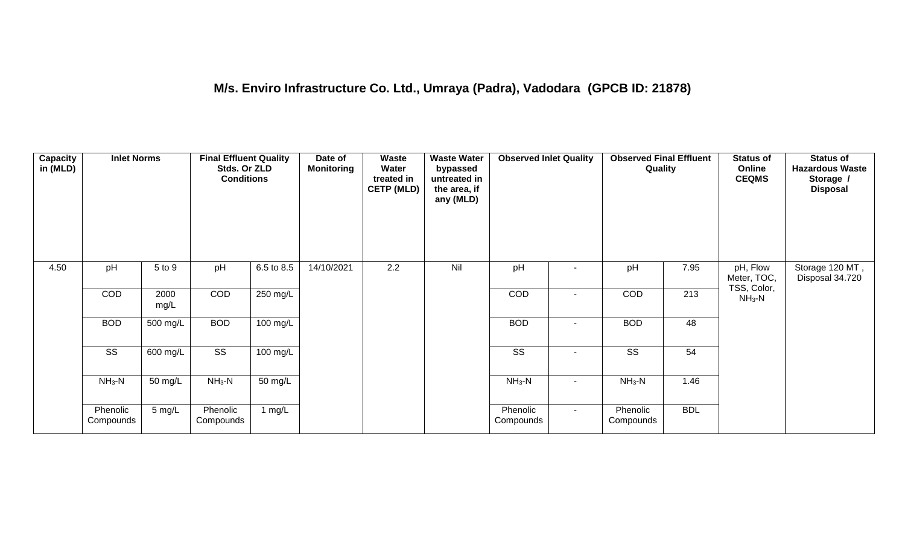| <b>Capacity</b><br>in (MLD) | <b>Inlet Norms</b>     |              | <b>Final Effluent Quality</b><br>Stds. Or ZLD<br><b>Conditions</b> |            | Date of<br><b>Monitoring</b> | Waste<br>Water<br>treated in<br><b>CETP (MLD)</b> | <b>Waste Water</b><br>bypassed<br>untreated in<br>the area, if<br>any (MLD) | <b>Observed Inlet Quality</b> |        | <b>Observed Final Effluent</b><br>Quality |                  | <b>Status of</b><br>Online<br><b>CEQMS</b> | <b>Status of</b><br><b>Hazardous Waste</b><br>Storage /<br><b>Disposal</b> |
|-----------------------------|------------------------|--------------|--------------------------------------------------------------------|------------|------------------------------|---------------------------------------------------|-----------------------------------------------------------------------------|-------------------------------|--------|-------------------------------------------|------------------|--------------------------------------------|----------------------------------------------------------------------------|
| 4.50                        | pH                     | 5 to 9       | pH                                                                 | 6.5 to 8.5 | 14/10/2021                   | 2.2                                               | Nil                                                                         | pH                            |        | pH                                        | 7.95             | pH, Flow<br>Meter, TOC,<br>TSS, Color,     | Storage 120 MT,<br>Disposal 34.720                                         |
|                             | COD                    | 2000<br>mg/L | COD                                                                | 250 mg/L   |                              |                                                   |                                                                             | COD                           |        | COD                                       | $\overline{213}$ | $NH3-N$                                    |                                                                            |
|                             | <b>BOD</b>             | $500$ mg/L   | <b>BOD</b>                                                         | $100$ mg/L |                              |                                                   |                                                                             | <b>BOD</b>                    | $\sim$ | <b>BOD</b>                                | 48               |                                            |                                                                            |
|                             | $\overline{\text{SS}}$ | 600 mg/L     | $\overline{\text{ss}}$                                             | $100$ mg/L |                              |                                                   |                                                                             | $\overline{\text{SS}}$        | $\sim$ | $\overline{\text{ss}}$                    | 54               |                                            |                                                                            |
|                             | $NH3-N$                | 50 mg/L      | $NH3-N$                                                            | 50 mg/L    |                              |                                                   |                                                                             | $NH3-N$                       |        | $NH_3-N$                                  | 1.46             |                                            |                                                                            |
|                             | Phenolic<br>Compounds  | 5 mg/L       | Phenolic<br>Compounds                                              | 1 mg/L     |                              |                                                   |                                                                             | Phenolic<br>Compounds         | $\sim$ | Phenolic<br>Compounds                     | <b>BDL</b>       |                                            |                                                                            |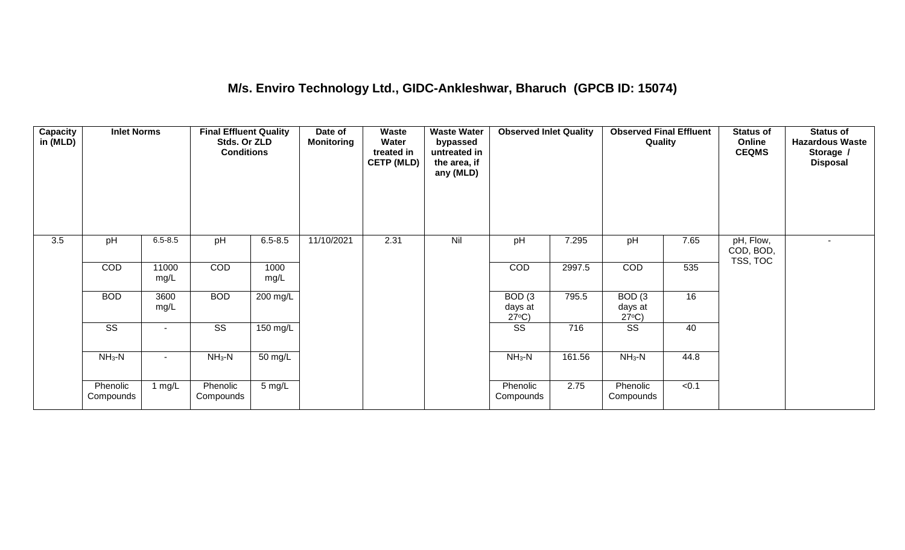## **M/s. Enviro Technology Ltd., GIDC-Ankleshwar, Bharuch (GPCB ID: 15074)**

| Capacity<br>in (MLD) | <b>Inlet Norms</b>     |                     | <b>Final Effluent Quality</b><br>Stds. Or ZLD<br><b>Conditions</b> |                  | Date of<br><b>Monitoring</b> | <b>Waste</b><br>Water<br>treated in<br><b>CETP (MLD)</b> | <b>Waste Water</b><br>bypassed<br>untreated in<br>the area, if<br>any (MLD) | <b>Observed Inlet Quality</b>                   |        | <b>Observed Final Effluent</b><br>Quality       |       | <b>Status of</b><br>Online<br><b>CEQMS</b> | <b>Status of</b><br><b>Hazardous Waste</b><br>Storage /<br><b>Disposal</b> |
|----------------------|------------------------|---------------------|--------------------------------------------------------------------|------------------|------------------------------|----------------------------------------------------------|-----------------------------------------------------------------------------|-------------------------------------------------|--------|-------------------------------------------------|-------|--------------------------------------------|----------------------------------------------------------------------------|
| 3.5                  | pH                     | $6.5 - 8.5$         | pH                                                                 | $6.5 - 8.5$      | 11/10/2021                   | 2.31                                                     | Nil                                                                         | pH                                              | 7.295  | pH                                              | 7.65  | pH, Flow,<br>COD, BOD,<br>TSS, TOC         | $\blacksquare$                                                             |
|                      | COD                    | 11000<br>mg/L       | COD                                                                | 1000<br>mg/L     |                              |                                                          |                                                                             | <b>COD</b>                                      | 2997.5 | <b>COD</b>                                      | 535   |                                            |                                                                            |
|                      | <b>BOD</b>             | 3600<br>mg/L        | <b>BOD</b>                                                         | 200 mg/L         |                              |                                                          |                                                                             | BOD <sub>(3</sub><br>days at<br>$27^{\circ}C$ ) | 795.5  | BOD <sub>(3</sub><br>days at<br>$27^{\circ}C$ ) | 16    |                                            |                                                                            |
|                      | $\overline{\text{ss}}$ |                     | $\overline{\text{SS}}$                                             | 150 mg/L         |                              |                                                          |                                                                             | SS                                              | 716    | SS                                              | 40    |                                            |                                                                            |
|                      | $NH3-N$                | $NH_3-N$<br>50 mg/L |                                                                    |                  | $NH3-N$                      | 161.56                                                   | $NH_3-N$                                                                    | 44.8                                            |        |                                                 |       |                                            |                                                                            |
|                      | Phenolic<br>Compounds  | 1 mg/ $L$           | Phenolic<br>Compounds                                              | $5 \text{ mg/L}$ |                              |                                                          |                                                                             | Phenolic<br>Compounds                           | 2.75   | Phenolic<br>Compounds                           | < 0.1 |                                            |                                                                            |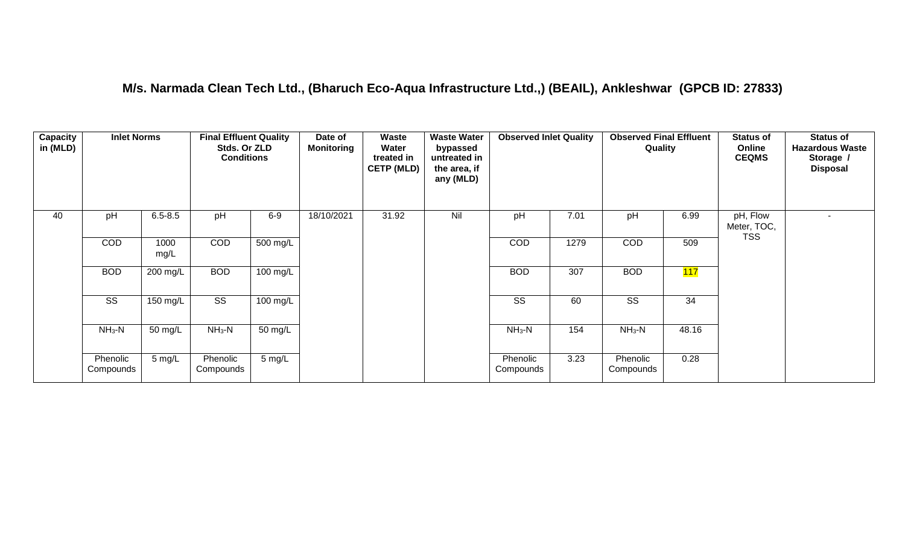#### **M/s. Narmada Clean Tech Ltd., (Bharuch Eco-Aqua Infrastructure Ltd.,) (BEAIL), Ankleshwar (GPCB ID: 27833)**

| Capacity<br>in (MLD) | <b>Inlet Norms</b>    |                  | <b>Final Effluent Quality</b><br>Stds. Or ZLD<br><b>Conditions</b> |                  | Date of<br><b>Monitoring</b> | Waste<br>Water<br>treated in<br><b>CETP (MLD)</b> | <b>Waste Water</b><br>bypassed<br>untreated in<br>the area, if<br>any (MLD) | <b>Observed Inlet Quality</b> |      | <b>Observed Final Effluent</b><br>Quality |       | <b>Status of</b><br>Online<br><b>CEQMS</b> | <b>Status of</b><br><b>Hazardous Waste</b><br>Storage /<br><b>Disposal</b> |
|----------------------|-----------------------|------------------|--------------------------------------------------------------------|------------------|------------------------------|---------------------------------------------------|-----------------------------------------------------------------------------|-------------------------------|------|-------------------------------------------|-------|--------------------------------------------|----------------------------------------------------------------------------|
| 40                   | pH                    | $6.5 - 8.5$      | pH                                                                 | $6-9$            | 18/10/2021                   | 31.92                                             | Nil                                                                         | pH                            | 7.01 | pH                                        | 6.99  | pH, Flow<br>Meter, TOC,                    |                                                                            |
|                      | COD                   | 1000<br>mg/L     | <b>COD</b>                                                         | 500 mg/L         |                              |                                                   |                                                                             | <b>COD</b>                    | 1279 | <b>COD</b>                                | 509   | <b>TSS</b>                                 |                                                                            |
|                      | <b>BOD</b>            | 200 mg/L         | <b>BOD</b>                                                         | 100 mg/L         |                              |                                                   |                                                                             | <b>BOD</b>                    | 307  | <b>BOD</b>                                | 117   |                                            |                                                                            |
|                      | <b>SS</b>             | 150 mg/L         | $\overline{\text{SS}}$                                             | 100 mg/L         |                              |                                                   |                                                                             | <b>SS</b>                     | 60   | SS                                        | 34    |                                            |                                                                            |
|                      | $NH3-N$               | 50 mg/L          | $NH3-N$                                                            | 50 mg/L          |                              |                                                   |                                                                             | $NH3-N$                       | 154  | $NH3-N$                                   | 48.16 |                                            |                                                                            |
|                      | Phenolic<br>Compounds | $5 \text{ mg/L}$ | Phenolic<br>Compounds                                              | $5 \text{ mg/L}$ |                              |                                                   |                                                                             | Phenolic<br>Compounds         | 3.23 | Phenolic<br>Compounds                     | 0.28  |                                            |                                                                            |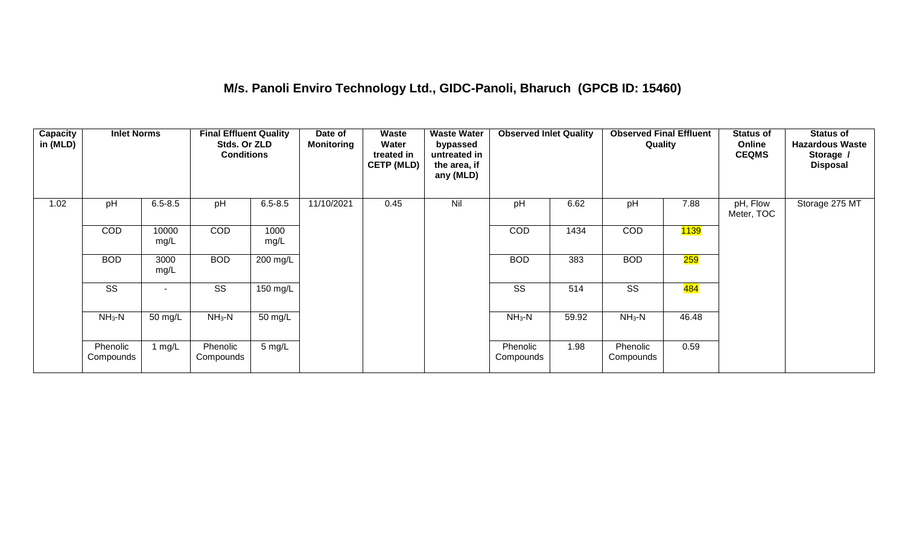#### **M/s. Panoli Enviro Technology Ltd., GIDC-Panoli, Bharuch (GPCB ID: 15460)**

| <b>Capacity</b><br>in (MLD) | <b>Inlet Norms</b>    |               | <b>Final Effluent Quality</b><br>Stds. Or ZLD<br><b>Conditions</b> |                  | Date of<br><b>Monitoring</b> | Waste<br>Water<br>treated in<br><b>CETP (MLD)</b> | <b>Waste Water</b><br>bypassed<br>untreated in<br>the area, if<br>any (MLD) | <b>Observed Inlet Quality</b> |       | <b>Observed Final Effluent</b><br>Quality |                   | <b>Status of</b><br>Online<br><b>CEQMS</b> | <b>Status of</b><br><b>Hazardous Waste</b><br>Storage /<br><b>Disposal</b> |
|-----------------------------|-----------------------|---------------|--------------------------------------------------------------------|------------------|------------------------------|---------------------------------------------------|-----------------------------------------------------------------------------|-------------------------------|-------|-------------------------------------------|-------------------|--------------------------------------------|----------------------------------------------------------------------------|
| 1.02                        | pH                    | $6.5 - 8.5$   | pH                                                                 | $6.5 - 8.5$      | 11/10/2021                   | 0.45                                              | Nil                                                                         | pH                            | 6.62  | pH                                        | 7.88              | pH, Flow<br>Meter, TOC                     | Storage 275 MT                                                             |
|                             | COD                   | 10000<br>mg/L | <b>COD</b>                                                         | 1000<br>mg/L     |                              |                                                   |                                                                             | <b>COD</b>                    | 1434  | <b>COD</b>                                | <mark>1139</mark> |                                            |                                                                            |
|                             | <b>BOD</b>            | 3000<br>mg/L  | <b>BOD</b>                                                         | 200 mg/L         |                              |                                                   |                                                                             | <b>BOD</b>                    | 383   | <b>BOD</b>                                | 259               |                                            |                                                                            |
|                             | SS                    | $\sim$        | SS                                                                 | 150 mg/L         |                              |                                                   |                                                                             | SS                            | 514   | SS                                        | <mark>484</mark>  |                                            |                                                                            |
|                             | $NH3-N$               | 50 mg/L       | $NH3-N$                                                            | 50 mg/L          |                              |                                                   |                                                                             | $NH3-N$                       | 59.92 | $NH_3-N$                                  | 46.48             |                                            |                                                                            |
|                             | Phenolic<br>Compounds | 1 $mg/L$      | Phenolic<br>Compounds                                              | $5 \text{ mg/L}$ |                              |                                                   |                                                                             | Phenolic<br>Compounds         | 1.98  | Phenolic<br>Compounds                     | 0.59              |                                            |                                                                            |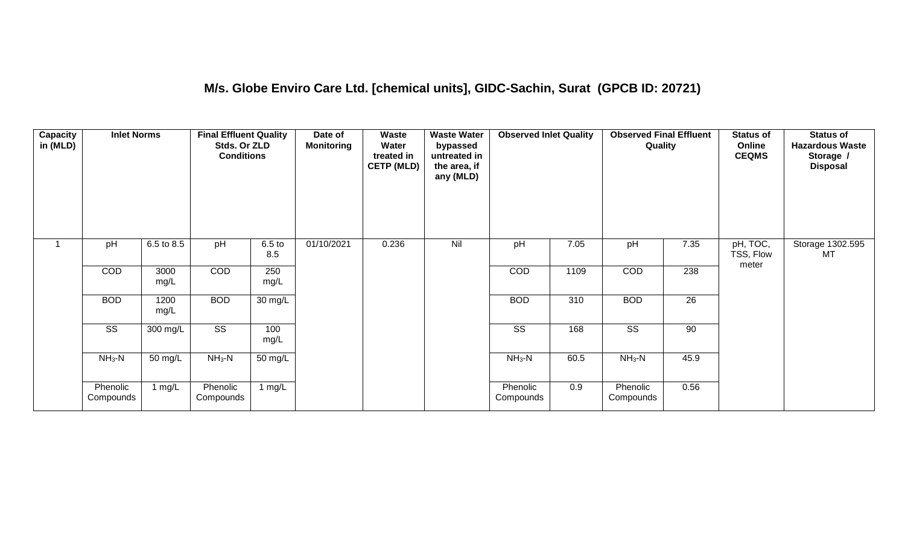## **M/s. Globe Enviro Care Ltd. [chemical units], GIDC-Sachin, Surat (GPCB ID: 20721)**

| Capacity<br>in (MLD) | <b>Inlet Norms</b>     |              | <b>Final Effluent Quality</b><br>Stds. Or ZLD<br><b>Conditions</b> |                          | Date of<br>Monitoring | <b>Waste</b><br>Water<br>treated in<br><b>CETP (MLD)</b> | <b>Waste Water</b><br>bypassed<br>untreated in<br>the area, if<br>any (MLD) | <b>Observed Inlet Quality</b> |      | <b>Observed Final Effluent</b><br>Quality |      | <b>Status of</b><br>Online<br><b>CEQMS</b> | <b>Status of</b><br><b>Hazardous Waste</b><br>Storage /<br><b>Disposal</b> |
|----------------------|------------------------|--------------|--------------------------------------------------------------------|--------------------------|-----------------------|----------------------------------------------------------|-----------------------------------------------------------------------------|-------------------------------|------|-------------------------------------------|------|--------------------------------------------|----------------------------------------------------------------------------|
| $\overline{ }$       | pH                     | 6.5 to 8.5   | pH                                                                 | 6.5 <sub>to</sub><br>8.5 | 01/10/2021            | 0.236                                                    | Nil                                                                         | pH                            | 7.05 | pH                                        | 7.35 | pH, TOC,<br>TSS, Flow<br>meter             | Storage 1302.595<br>МT                                                     |
|                      | COD                    | 3000<br>mg/L | COD                                                                | 250<br>mg/L              |                       |                                                          |                                                                             | COD                           | 1109 | COD                                       | 238  |                                            |                                                                            |
|                      | <b>BOD</b>             | 1200<br>mg/L | <b>BOD</b>                                                         | 30 mg/L                  |                       |                                                          |                                                                             | <b>BOD</b>                    | 310  | <b>BOD</b>                                | 26   |                                            |                                                                            |
|                      | $\overline{\text{SS}}$ | 300 mg/L     | $\overline{\text{ss}}$                                             | 100<br>mg/L              |                       |                                                          |                                                                             | $\overline{\text{ss}}$        | 168  | $\overline{\text{ss}}$                    | 90   |                                            |                                                                            |
|                      | $NH_3-N$               | 50 mg/L      | $NH3-N$                                                            | 50 mg/L                  |                       |                                                          |                                                                             | $NH3-N$                       | 60.5 | $NH3-N$                                   | 45.9 |                                            |                                                                            |
|                      | Phenolic<br>Compounds  | 1 mg/L       | Phenolic<br>Compounds                                              | 1 mg/L                   |                       |                                                          |                                                                             | Phenolic<br>Compounds         | 0.9  | Phenolic<br>Compounds                     | 0.56 |                                            |                                                                            |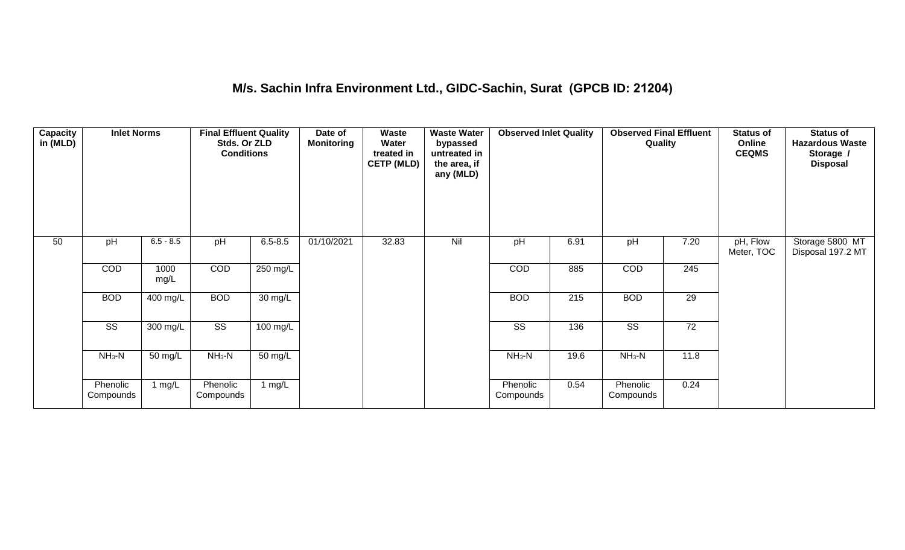#### **M/s. Sachin Infra Environment Ltd., GIDC-Sachin, Surat (GPCB ID: 21204)**

| Capacity<br>in (MLD) | <b>Inlet Norms</b>     |                      | <b>Final Effluent Quality</b><br>Stds. Or ZLD<br><b>Conditions</b> |             | Date of<br><b>Monitoring</b> | <b>Waste</b><br>Water<br>treated in<br><b>CETP (MLD)</b> | <b>Waste Water</b><br>bypassed<br>untreated in<br>the area, if<br>any (MLD) | <b>Observed Inlet Quality</b> |      | <b>Observed Final Effluent</b><br>Quality |      | <b>Status of</b><br>Online<br><b>CEQMS</b> | <b>Status of</b><br><b>Hazardous Waste</b><br>Storage /<br><b>Disposal</b> |
|----------------------|------------------------|----------------------|--------------------------------------------------------------------|-------------|------------------------------|----------------------------------------------------------|-----------------------------------------------------------------------------|-------------------------------|------|-------------------------------------------|------|--------------------------------------------|----------------------------------------------------------------------------|
| 50                   | pH                     | $6.5 - 8.5$          | pH                                                                 | $6.5 - 8.5$ | 01/10/2021                   | 32.83                                                    | Nil                                                                         | pH                            | 6.91 | pH                                        | 7.20 | pH, Flow<br>Meter, TOC                     | Storage 5800 MT<br>Disposal 197.2 MT                                       |
|                      | COD                    | 1000<br>mg/L         | COD                                                                | 250 mg/L    |                              |                                                          |                                                                             | COD                           | 885  | COD                                       | 245  |                                            |                                                                            |
|                      | <b>BOD</b>             | 400 mg/L             | <b>BOD</b>                                                         | 30 mg/L     |                              |                                                          |                                                                             | <b>BOD</b>                    | 215  | <b>BOD</b>                                | 29   |                                            |                                                                            |
|                      | $\overline{\text{SS}}$ | 300 mg/L             | $\overline{\text{SS}}$                                             | 100 mg/L    |                              |                                                          |                                                                             | $\overline{\text{SS}}$        | 136  | $\overline{\text{SS}}$                    | 72   |                                            |                                                                            |
|                      | $NH_3-N$               | $\overline{50}$ mg/L | $NH3-N$                                                            | 50 mg/L     |                              |                                                          |                                                                             | $NH3-N$                       | 19.6 | $NH3-N$                                   | 11.8 |                                            |                                                                            |
|                      | Phenolic<br>Compounds  | 1 $mg/L$             | Phenolic<br>Compounds                                              | 1 mg/L      |                              |                                                          |                                                                             | Phenolic<br>Compounds         | 0.54 | Phenolic<br>Compounds                     | 0.24 |                                            |                                                                            |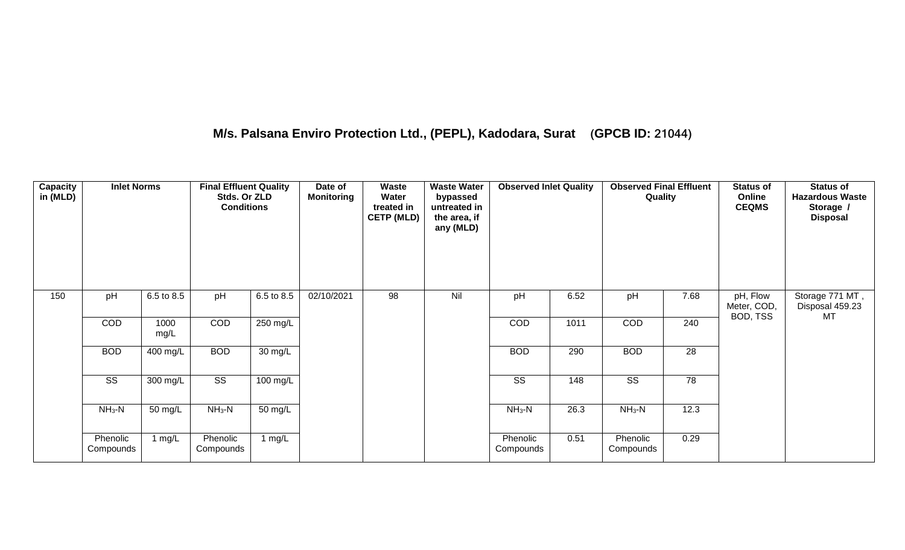## **M/s. Palsana Enviro Protection Ltd., (PEPL), Kadodara, Surat (GPCB ID: 21044)**

| <b>Capacity</b><br>in (MLD) | <b>Inlet Norms</b>     |                    | <b>Final Effluent Quality</b><br>Stds. Or ZLD<br><b>Conditions</b> |                    | Date of<br><b>Monitoring</b> | Waste<br>Water<br>treated in<br><b>CETP (MLD)</b> | <b>Waste Water</b><br>bypassed<br>untreated in<br>the area, if<br>any (MLD) | <b>Observed Inlet Quality</b> |      | <b>Observed Final Effluent</b><br>Quality |      | <b>Status of</b><br>Online<br><b>CEQMS</b> | <b>Status of</b><br><b>Hazardous Waste</b><br>Storage /<br><b>Disposal</b> |
|-----------------------------|------------------------|--------------------|--------------------------------------------------------------------|--------------------|------------------------------|---------------------------------------------------|-----------------------------------------------------------------------------|-------------------------------|------|-------------------------------------------|------|--------------------------------------------|----------------------------------------------------------------------------|
| 150                         | pH                     | 6.5 to 8.5         | pH                                                                 | 6.5 to 8.5         | 02/10/2021                   | 98                                                | Nil                                                                         | pH                            | 6.52 | pH                                        | 7.68 | pH, Flow<br>Meter, COD,                    | Storage 771 MT,<br>Disposal 459.23                                         |
|                             | <b>COD</b>             | 1000<br>mg/L       | <b>COD</b>                                                         | 250 mg/L           |                              |                                                   |                                                                             | COD                           | 1011 | <b>COD</b>                                | 240  | BOD, TSS                                   | MT                                                                         |
|                             | <b>BOD</b>             | 400 mg/L           | <b>BOD</b>                                                         | $30 \text{ mg/L}$  |                              |                                                   |                                                                             | <b>BOD</b>                    | 290  | <b>BOD</b>                                | 28   |                                            |                                                                            |
|                             | $\overline{\text{ss}}$ | $300 \text{ mg/L}$ | $\overline{\text{ss}}$                                             | $100 \text{ mg/L}$ |                              |                                                   |                                                                             | $\overline{\text{ss}}$        | 148  | $\overline{\text{ss}}$                    | 78   |                                            |                                                                            |
|                             | $NH3-N$                | 50 mg/L            | $NH3-N$                                                            | $50 \text{ mg/L}$  |                              |                                                   |                                                                             | $NH3-N$                       | 26.3 | $NH3-N$                                   | 12.3 |                                            |                                                                            |
|                             | Phenolic<br>Compounds  | 1 mg/L             | Phenolic<br>Compounds                                              | 1 $mg/L$           |                              |                                                   |                                                                             | Phenolic<br>Compounds         | 0.51 | Phenolic<br>Compounds                     | 0.29 |                                            |                                                                            |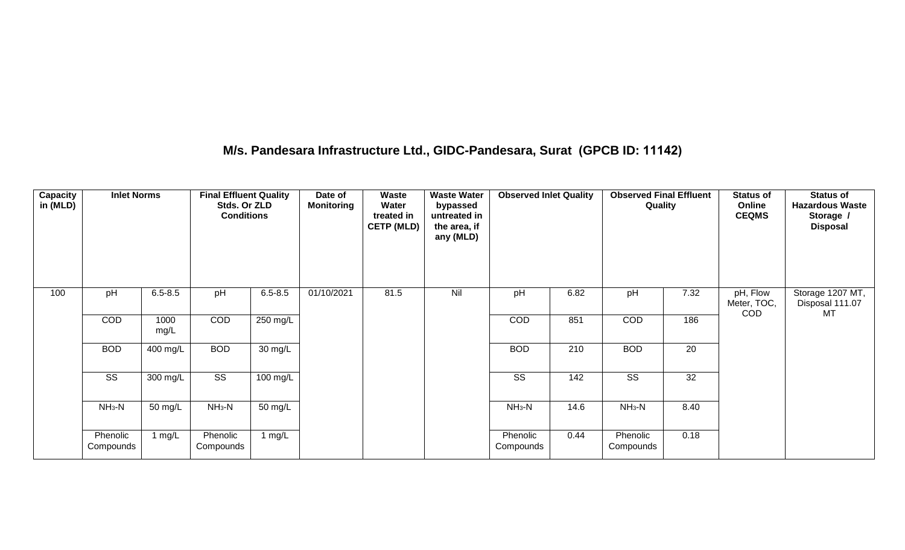#### **M/s. Pandesara Infrastructure Ltd., GIDC-Pandesara, Surat (GPCB ID: 11142)**

| <b>Capacity</b><br>in (MLD) | <b>Inlet Norms</b>     |              | <b>Final Effluent Quality</b><br>Stds. Or ZLD<br><b>Conditions</b> |             | Date of<br><b>Monitoring</b> | Waste<br>Water<br>treated in<br><b>CETP (MLD)</b> | <b>Waste Water</b><br>bypassed<br>untreated in<br>the area, if<br>any (MLD) | <b>Observed Inlet Quality</b> |      | <b>Observed Final Effluent</b><br>Quality |      | <b>Status of</b><br>Online<br><b>CEQMS</b> | <b>Status of</b><br><b>Hazardous Waste</b><br>Storage /<br><b>Disposal</b> |
|-----------------------------|------------------------|--------------|--------------------------------------------------------------------|-------------|------------------------------|---------------------------------------------------|-----------------------------------------------------------------------------|-------------------------------|------|-------------------------------------------|------|--------------------------------------------|----------------------------------------------------------------------------|
| 100                         | pH                     | $6.5 - 8.5$  | pH                                                                 | $6.5 - 8.5$ | 01/10/2021                   | 81.5                                              | Nil                                                                         | pH                            | 6.82 | pH                                        | 7.32 | pH, Flow<br>Meter, TOC,<br><b>COD</b>      | Storage 1207 MT,<br>Disposal 111.07<br>MT                                  |
|                             | COD                    | 1000<br>mg/L | COD                                                                | 250 mg/L    |                              |                                                   |                                                                             | COD                           | 851  | COD                                       | 186  |                                            |                                                                            |
|                             | <b>BOD</b>             | 400 mg/L     | <b>BOD</b>                                                         | 30 mg/L     |                              |                                                   |                                                                             | <b>BOD</b>                    | 210  | <b>BOD</b>                                | 20   |                                            |                                                                            |
|                             | $\overline{\text{ss}}$ | 300 mg/L     | $\overline{\text{ss}}$                                             | 100 mg/L    |                              |                                                   |                                                                             | SS                            | 142  | <b>SS</b>                                 | 32   |                                            |                                                                            |
|                             | $NH3-N$                | 50 mg/L      | $NH3-N$                                                            | 50 mg/L     |                              |                                                   |                                                                             | $NH3-N$                       | 14.6 | $NH3-N$                                   | 8.40 |                                            |                                                                            |
|                             | Phenolic<br>Compounds  | 1 $mg/L$     | Phenolic<br>Compounds                                              | 1 $mg/L$    |                              |                                                   |                                                                             | Phenolic<br>Compounds         | 0.44 | Phenolic<br>Compounds                     | 0.18 |                                            |                                                                            |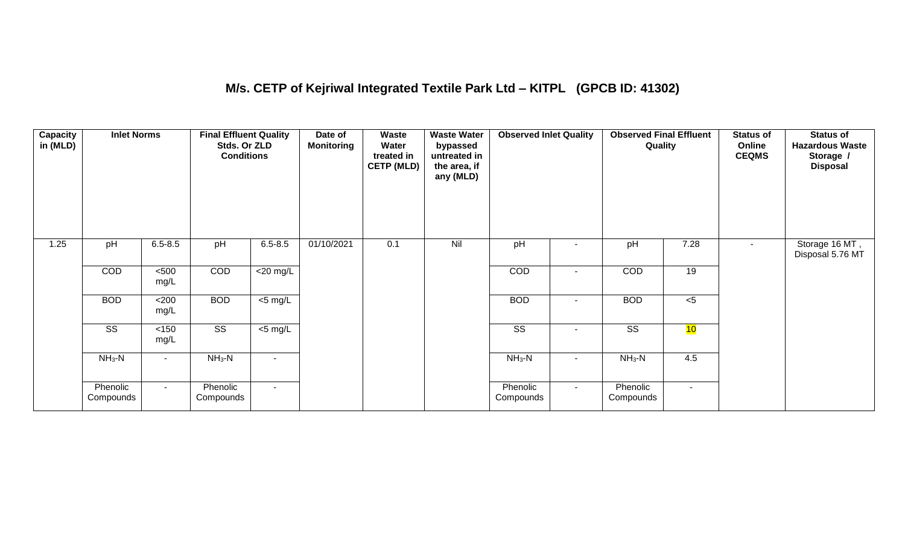#### **M/s. CETP of Kejriwal Integrated Textile Park Ltd – KITPL (GPCB ID: 41302)**

| <b>Capacity</b><br>in (MLD) | <b>Inlet Norms</b>     |               | <b>Final Effluent Quality</b><br>Stds. Or ZLD<br><b>Conditions</b> |                     | Date of<br><b>Monitoring</b> | Waste<br>Water<br>treated in<br><b>CETP (MLD)</b> | <b>Waste Water</b><br>bypassed<br>untreated in<br>the area, if<br>any (MLD) | <b>Observed Inlet Quality</b> |                          | <b>Observed Final Effluent</b><br>Quality |        | <b>Status of</b><br>Online<br><b>CEQMS</b> | <b>Status of</b><br><b>Hazardous Waste</b><br>Storage /<br><b>Disposal</b> |
|-----------------------------|------------------------|---------------|--------------------------------------------------------------------|---------------------|------------------------------|---------------------------------------------------|-----------------------------------------------------------------------------|-------------------------------|--------------------------|-------------------------------------------|--------|--------------------------------------------|----------------------------------------------------------------------------|
| 1.25                        | pH                     | $6.5 - 8.5$   | pH                                                                 | $6.5 - 8.5$         | 01/10/2021                   | 0.1                                               | Nil                                                                         | pH                            |                          | pH                                        | 7.28   | $\blacksquare$                             | Storage 16 MT,<br>Disposal 5.76 MT                                         |
|                             | <b>COD</b>             | $500$<br>mg/L | COD                                                                | $<$ 20 mg/L         |                              |                                                   |                                                                             | COD                           |                          | <b>COD</b>                                | 19     |                                            |                                                                            |
|                             | <b>BOD</b>             | <200<br>mg/L  | <b>BOD</b>                                                         | $\overline{5}$ mg/L |                              |                                                   |                                                                             | <b>BOD</b>                    | $\overline{\phantom{a}}$ | <b>BOD</b>                                | $<$ 5  |                                            |                                                                            |
|                             | $\overline{\text{ss}}$ | <150<br>mg/L  | $\overline{\text{SS}}$                                             | $<$ 5 mg/L          |                              |                                                   |                                                                             | $\overline{\text{ss}}$        |                          | $\overline{\text{ss}}$                    | 10     |                                            |                                                                            |
|                             | $NH_3-N$               |               | $NH_3-N$                                                           | $\blacksquare$      |                              |                                                   |                                                                             | $NH_3-N$                      |                          | $NH3-N$                                   | 4.5    |                                            |                                                                            |
|                             | Phenolic<br>Compounds  | $\sim$        | Phenolic<br>Compounds                                              | $\sim$              |                              |                                                   |                                                                             | Phenolic<br>Compounds         | $\sim$                   | Phenolic<br>Compounds                     | $\sim$ |                                            |                                                                            |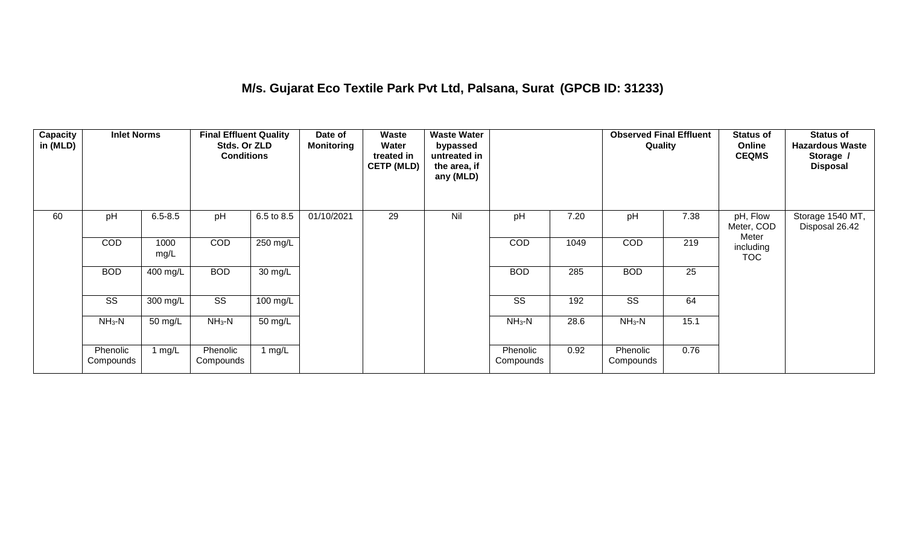#### **M/s. Gujarat Eco Textile Park Pvt Ltd, Palsana, Surat (GPCB ID: 31233)**

| <b>Capacity</b><br>in (MLD) | <b>Inlet Norms</b>    |              | <b>Final Effluent Quality</b><br>Stds. Or ZLD<br><b>Conditions</b> |            | Date of<br><b>Monitoring</b> | <b>Waste</b><br>Water<br>treated in<br><b>CETP (MLD)</b> | <b>Waste Water</b><br>bypassed<br>untreated in<br>the area, if<br>any (MLD) |                       |      | <b>Observed Final Effluent</b><br>Quality |      | <b>Status of</b><br>Online<br><b>CEQMS</b> | <b>Status of</b><br><b>Hazardous Waste</b><br>Storage /<br><b>Disposal</b> |
|-----------------------------|-----------------------|--------------|--------------------------------------------------------------------|------------|------------------------------|----------------------------------------------------------|-----------------------------------------------------------------------------|-----------------------|------|-------------------------------------------|------|--------------------------------------------|----------------------------------------------------------------------------|
| 60                          | pH                    | $6.5 - 8.5$  | pH                                                                 | 6.5 to 8.5 | 01/10/2021                   | 29                                                       | Nil                                                                         | pH                    | 7.20 | pH                                        | 7.38 | pH, Flow<br>Meter, COD                     | Storage 1540 MT,<br>Disposal 26.42                                         |
|                             | COD                   | 1000<br>mg/L | COD                                                                | 250 mg/L   |                              |                                                          |                                                                             | <b>COD</b>            | 1049 | <b>COD</b>                                | 219  | Meter<br>including<br><b>TOC</b>           |                                                                            |
|                             | <b>BOD</b>            | 400 mg/L     | <b>BOD</b>                                                         | 30 mg/L    |                              |                                                          |                                                                             | <b>BOD</b>            | 285  | <b>BOD</b>                                | 25   |                                            |                                                                            |
|                             | SS                    | 300 mg/L     | SS                                                                 | 100 mg/L   |                              |                                                          |                                                                             | SS                    | 192  | SS                                        | 64   |                                            |                                                                            |
|                             | $NH3-N$               | 50 mg/L      | $NH3-N$                                                            | 50 mg/L    |                              |                                                          |                                                                             | $NH3-N$               | 28.6 | $NH3-N$                                   | 15.1 |                                            |                                                                            |
|                             | Phenolic<br>Compounds | 1 mg/L       | Phenolic<br>Compounds                                              | 1 $mg/L$   |                              |                                                          |                                                                             | Phenolic<br>Compounds | 0.92 | Phenolic<br>Compounds                     | 0.76 |                                            |                                                                            |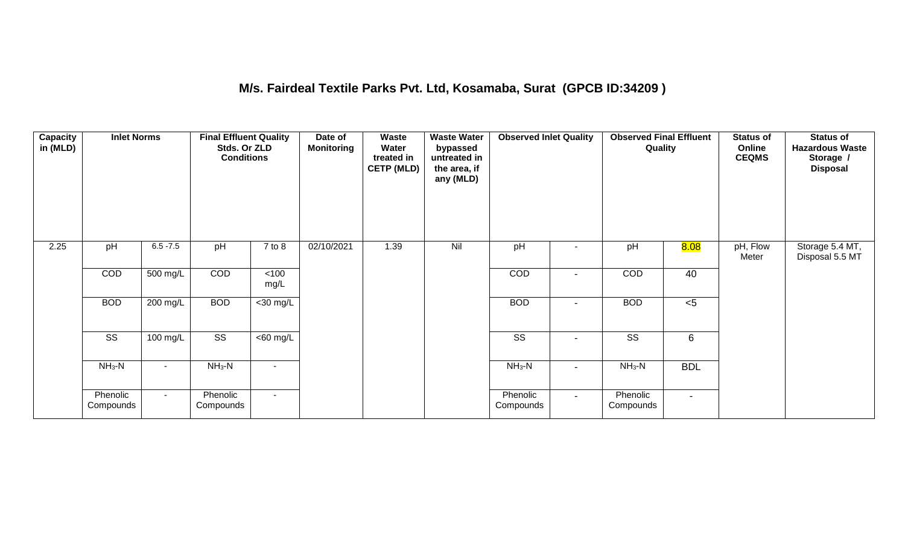#### **M/s. Fairdeal Textile Parks Pvt. Ltd, Kosamaba, Surat (GPCB ID:34209 )**

| <b>Capacity</b><br>in (MLD) | <b>Inlet Norms</b>    |             | <b>Final Effluent Quality</b><br>Stds. Or ZLD<br><b>Conditions</b> |                       | Date of<br><b>Monitoring</b> | Waste<br>Water<br>treated in<br><b>CETP (MLD)</b> | <b>Waste Water</b><br>bypassed<br>untreated in<br>the area, if<br>any (MLD) | <b>Observed Inlet Quality</b> |                | <b>Observed Final Effluent</b><br>Quality |                | <b>Status of</b><br>Online<br><b>CEQMS</b> | <b>Status of</b><br><b>Hazardous Waste</b><br>Storage /<br><b>Disposal</b> |
|-----------------------------|-----------------------|-------------|--------------------------------------------------------------------|-----------------------|------------------------------|---------------------------------------------------|-----------------------------------------------------------------------------|-------------------------------|----------------|-------------------------------------------|----------------|--------------------------------------------|----------------------------------------------------------------------------|
| 2.25                        | pH                    | $6.5 - 7.5$ | pH                                                                 | $7$ to $8$            | 02/10/2021                   | 1.39                                              | Nil                                                                         | pH                            |                | pH                                        | 8.08           | pH, Flow<br>Meter                          | Storage 5.4 MT,<br>Disposal 5.5 MT                                         |
|                             | COD                   | 500 mg/L    | COD                                                                | $<$ 100<br>mg/L       |                              |                                                   |                                                                             | COD                           |                | COD                                       | 40             |                                            |                                                                            |
|                             | <b>BOD</b>            | $200$ mg/L  | <b>BOD</b>                                                         | $<$ 30 mg/L           |                              |                                                   |                                                                             | <b>BOD</b>                    | $\blacksquare$ | <b>BOD</b>                                | < 5            |                                            |                                                                            |
|                             | SS                    | 100 mg/L    | SS                                                                 | $\overline{<}60$ mg/L |                              |                                                   |                                                                             | SS                            | $\blacksquare$ | SS                                        | 6              |                                            |                                                                            |
|                             | $NH_3-N$              | $\sim$      | $NH3-N$                                                            | $\blacksquare$        |                              |                                                   |                                                                             | $NH3-N$                       | $\blacksquare$ | $NH3-N$                                   | <b>BDL</b>     |                                            |                                                                            |
|                             | Phenolic<br>Compounds | $\sim$      | Phenolic<br>Compounds                                              | $\sim$                |                              |                                                   |                                                                             | Phenolic<br>Compounds         | $\sim$         | Phenolic<br>Compounds                     | $\blacksquare$ |                                            |                                                                            |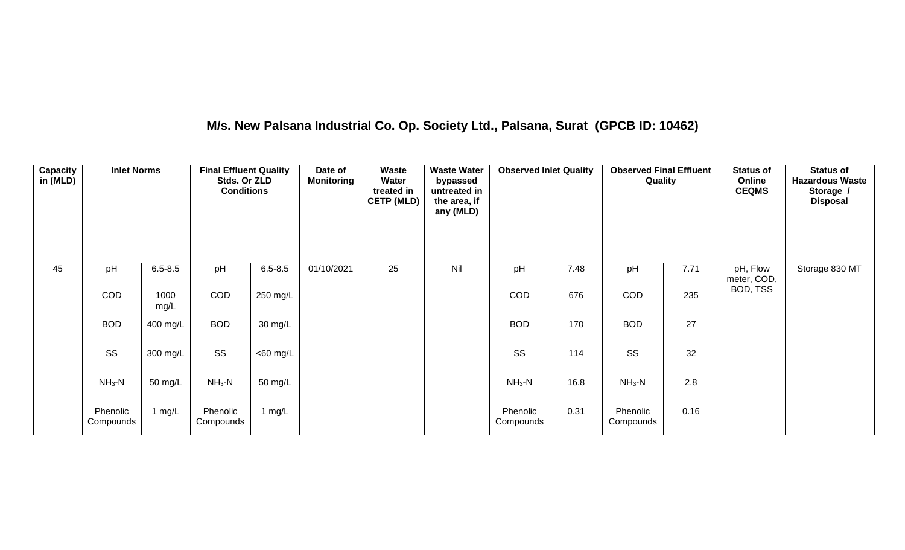## **M/s. New Palsana Industrial Co. Op. Society Ltd., Palsana, Surat (GPCB ID: 10462)**

| Capacity<br>in (MLD) | <b>Inlet Norms</b>    |              | <b>Final Effluent Quality</b><br>Stds. Or ZLD<br><b>Conditions</b> |             | Date of<br><b>Monitoring</b> | Waste<br>Water<br>treated in<br><b>CETP (MLD)</b> | <b>Waste Water</b><br>bypassed<br>untreated in<br>the area, if<br>any (MLD) | <b>Observed Inlet Quality</b> |      | <b>Observed Final Effluent</b><br>Quality |      | <b>Status of</b><br>Online<br><b>CEQMS</b> | <b>Status of</b><br><b>Hazardous Waste</b><br>Storage /<br><b>Disposal</b> |
|----------------------|-----------------------|--------------|--------------------------------------------------------------------|-------------|------------------------------|---------------------------------------------------|-----------------------------------------------------------------------------|-------------------------------|------|-------------------------------------------|------|--------------------------------------------|----------------------------------------------------------------------------|
| 45                   | pH                    | $6.5 - 8.5$  | pH                                                                 | $6.5 - 8.5$ | 01/10/2021                   | 25                                                | Nil                                                                         | pH                            | 7.48 | pH                                        | 7.71 | pH, Flow<br>meter, COD,                    | Storage 830 MT                                                             |
|                      | COD                   | 1000<br>mg/L | COD                                                                | 250 mg/L    |                              |                                                   |                                                                             | <b>COD</b>                    | 676  | COD                                       | 235  | BOD, TSS                                   |                                                                            |
|                      | <b>BOD</b>            | 400 mg/L     | <b>BOD</b>                                                         | 30 mg/L     |                              |                                                   |                                                                             | <b>BOD</b>                    | 170  | <b>BOD</b>                                | 27   |                                            |                                                                            |
|                      | SS                    | 300 mg/L     | SS                                                                 | $<$ 60 mg/L |                              |                                                   |                                                                             | SS                            | 114  | SS                                        | 32   |                                            |                                                                            |
|                      | $NH_3-N$              | 50 mg/L      | $NH3-N$                                                            | 50 mg/L     |                              |                                                   |                                                                             | $NH3-N$                       | 16.8 | $NH3-N$                                   | 2.8  |                                            |                                                                            |
|                      | Phenolic<br>Compounds | 1 $mg/L$     | Phenolic<br>Compounds                                              | 1 mg/L      |                              |                                                   |                                                                             | Phenolic<br>Compounds         | 0.31 | Phenolic<br>Compounds                     | 0.16 |                                            |                                                                            |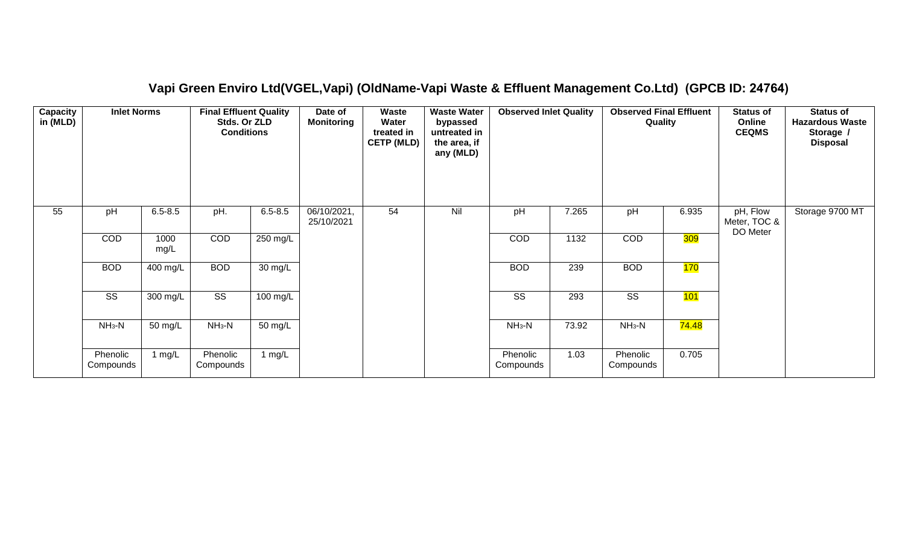| <b>Capacity</b><br>in (MLD) | <b>Inlet Norms</b>     |              | <b>Final Effluent Quality</b><br>Stds. Or ZLD<br><b>Conditions</b> |             | Date of<br><b>Monitoring</b> | Waste<br>Water<br>treated in<br><b>CETP (MLD)</b> | <b>Waste Water</b><br>bypassed<br>untreated in<br>the area, if<br>any (MLD) | <b>Observed Inlet Quality</b> |       | <b>Observed Final Effluent</b><br>Quality |                    | <b>Status of</b><br>Online<br><b>CEQMS</b> | <b>Status of</b><br><b>Hazardous Waste</b><br>Storage /<br><b>Disposal</b> |
|-----------------------------|------------------------|--------------|--------------------------------------------------------------------|-------------|------------------------------|---------------------------------------------------|-----------------------------------------------------------------------------|-------------------------------|-------|-------------------------------------------|--------------------|--------------------------------------------|----------------------------------------------------------------------------|
| 55                          | pH                     | $6.5 - 8.5$  | pH.                                                                | $6.5 - 8.5$ | 06/10/2021,<br>25/10/2021    | 54                                                | Nil                                                                         | pH                            | 7.265 | pH                                        | 6.935              | pH, Flow<br>Meter, TOC &<br>DO Meter       | Storage 9700 MT                                                            |
|                             | COD                    | 1000<br>mg/L | COD                                                                | 250 mg/L    |                              |                                                   |                                                                             | COD                           | 1132  | COD                                       | <b>309</b>         |                                            |                                                                            |
|                             | <b>BOD</b>             | 400 mg/L     | <b>BOD</b>                                                         | 30 mg/L     |                              |                                                   |                                                                             | <b>BOD</b>                    | 239   | <b>BOD</b>                                | 170                |                                            |                                                                            |
|                             | $\overline{\text{SS}}$ | 300 mg/L     | $\overline{\text{ss}}$                                             | 100 mg/L    |                              |                                                   |                                                                             | $\overline{\text{SS}}$        | 293   | $\overline{\text{SS}}$                    | 101                |                                            |                                                                            |
|                             | $NH3-N$                | 50 mg/L      | $NH3-N$                                                            | 50 mg/L     |                              |                                                   |                                                                             | $NH_3-N$                      | 73.92 | $NH3-N$                                   | <mark>74.48</mark> |                                            |                                                                            |
|                             | Phenolic<br>Compounds  | 1 $mg/L$     | Phenolic<br>Compounds                                              | 1 $mg/L$    |                              |                                                   |                                                                             | Phenolic<br>Compounds         | 1.03  | Phenolic<br>Compounds                     | 0.705              |                                            |                                                                            |

#### **Vapi Green Enviro Ltd(VGEL,Vapi) (OldName-Vapi Waste & Effluent Management Co.Ltd) (GPCB ID: 24764)**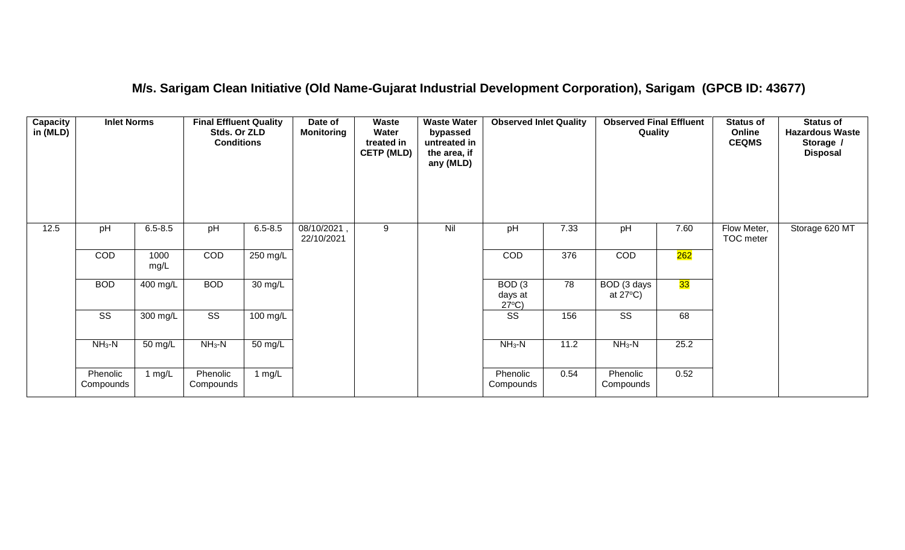#### **M/s. Sarigam Clean Initiative (Old Name-Gujarat Industrial Development Corporation), Sarigam (GPCB ID: 43677)**

| Capacity<br>in (MLD) | <b>Inlet Norms</b>     |                       | <b>Final Effluent Quality</b><br>Stds. Or ZLD<br><b>Conditions</b> |                      | Date of<br><b>Monitoring</b> | Waste<br>Water<br>treated in<br><b>CETP (MLD)</b> | <b>Waste Water</b><br>bypassed<br>untreated in<br>the area, if<br>any (MLD) | <b>Observed Inlet Quality</b>        |                 | <b>Observed Final Effluent</b><br>Quality |      | <b>Status of</b><br>Online<br><b>CEQMS</b> | <b>Status of</b><br><b>Hazardous Waste</b><br>Storage /<br><b>Disposal</b> |
|----------------------|------------------------|-----------------------|--------------------------------------------------------------------|----------------------|------------------------------|---------------------------------------------------|-----------------------------------------------------------------------------|--------------------------------------|-----------------|-------------------------------------------|------|--------------------------------------------|----------------------------------------------------------------------------|
| 12.5                 | pH                     | $6.5 - 8.5$           | pH                                                                 | $6.5 - 8.5$          | 08/10/2021<br>22/10/2021     | 9                                                 | Nil                                                                         | pH                                   | 7.33            | pH                                        | 7.60 | Flow Meter,<br><b>TOC</b> meter            | Storage 620 MT                                                             |
|                      | COD                    | 1000<br>mg/L          | COD                                                                | $250 \text{ mg/L}$   |                              |                                                   |                                                                             | COD                                  | 376             | COD                                       | 262  |                                            |                                                                            |
|                      | <b>BOD</b>             | $\overline{400}$ mg/L | <b>BOD</b>                                                         | 30 mg/L              |                              |                                                   |                                                                             | BOD(3)<br>days at<br>$27^{\circ}C$ ) | $\overline{78}$ | BOD (3 days<br>at $27^{\circ}$ C)         | 33   |                                            |                                                                            |
|                      | $\overline{\text{ss}}$ | 300 mg/L              | $\overline{\text{ss}}$                                             | $100$ mg/L           |                              |                                                   |                                                                             | $\overline{\text{ss}}$               | 156             | $\overline{\text{ss}}$                    | 68   |                                            |                                                                            |
|                      | $NH3-N$                | 50 mg/L               | $NH3-N$                                                            | $\overline{50}$ mg/L |                              |                                                   |                                                                             | $NH3-N$                              | 11.2            | $\overline{\text{NH}}_3\text{-N}$         | 25.2 |                                            |                                                                            |
|                      | Phenolic<br>Compounds  | 1 $mg/L$              | Phenolic<br>Compounds                                              | 1 $mg/L$             |                              |                                                   |                                                                             | Phenolic<br>Compounds                | 0.54            | Phenolic<br>Compounds                     | 0.52 |                                            |                                                                            |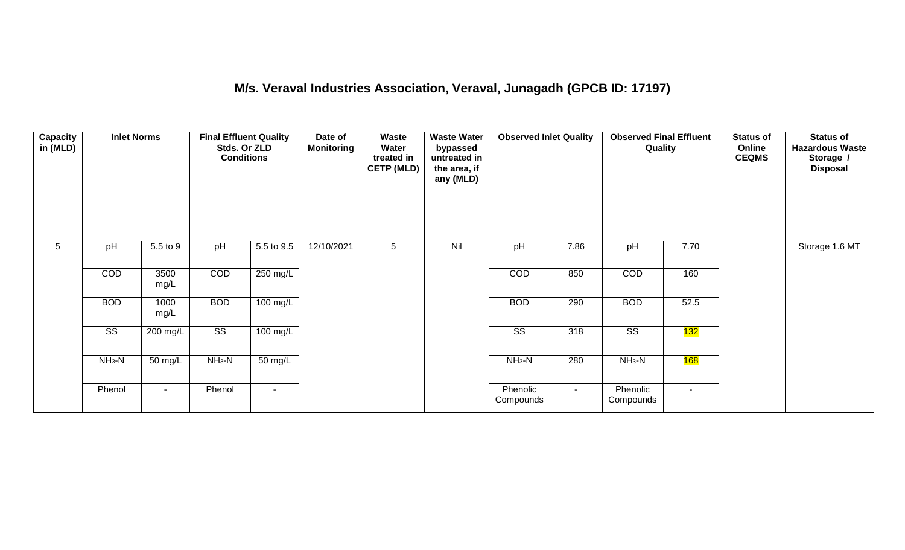## **M/s. Veraval Industries Association, Veraval, Junagadh (GPCB ID: 17197)**

| <b>Capacity</b><br>in (MLD) | <b>Inlet Norms</b>     |                      | <b>Final Effluent Quality</b><br>Stds. Or ZLD<br><b>Conditions</b> |                | Date of<br><b>Monitoring</b> | Waste<br>Water<br>treated in<br><b>CETP (MLD)</b> | <b>Waste Water</b><br>bypassed<br>untreated in<br>the area, if<br>any (MLD) | <b>Observed Inlet Quality</b> |        | <b>Observed Final Effluent</b><br>Quality |                  | <b>Status of</b><br>Online<br><b>CEQMS</b> | <b>Status of</b><br><b>Hazardous Waste</b><br>Storage /<br><b>Disposal</b> |
|-----------------------------|------------------------|----------------------|--------------------------------------------------------------------|----------------|------------------------------|---------------------------------------------------|-----------------------------------------------------------------------------|-------------------------------|--------|-------------------------------------------|------------------|--------------------------------------------|----------------------------------------------------------------------------|
| $5\phantom{.0}$             | pH                     | 5.5 to 9             | pH                                                                 | 5.5 to 9.5     | 12/10/2021                   | 5                                                 | Nil                                                                         | pH                            | 7.86   | pH                                        | 7.70             |                                            | Storage 1.6 MT                                                             |
|                             | COD                    | 3500<br>mg/L         | COD                                                                | 250 mg/L       |                              |                                                   |                                                                             | COD                           | 850    | COD                                       | 160              |                                            |                                                                            |
|                             | <b>BOD</b>             | 1000<br>mg/L         | <b>BOD</b>                                                         | 100 mg/L       |                              |                                                   |                                                                             | <b>BOD</b>                    | 290    | <b>BOD</b>                                | 52.5             |                                            |                                                                            |
|                             | $\overline{\text{ss}}$ | 200 mg/L             | $\overline{\text{ss}}$                                             | 100 mg/L       |                              |                                                   |                                                                             | $\overline{\text{ss}}$        | 318    | $\overline{\text{SS}}$                    | <mark>132</mark> |                                            |                                                                            |
|                             | $NH3-N$                | $\overline{50}$ mg/L | $NH3-N$                                                            | 50 mg/L        |                              |                                                   |                                                                             | $NH3-N$                       | 280    | $NH3-N$                                   | 168              |                                            |                                                                            |
|                             | Phenol                 | $\sim$               | Phenol                                                             | $\blacksquare$ |                              |                                                   |                                                                             | Phenolic<br>Compounds         | $\sim$ | Phenolic<br>Compounds                     | $\sim$           |                                            |                                                                            |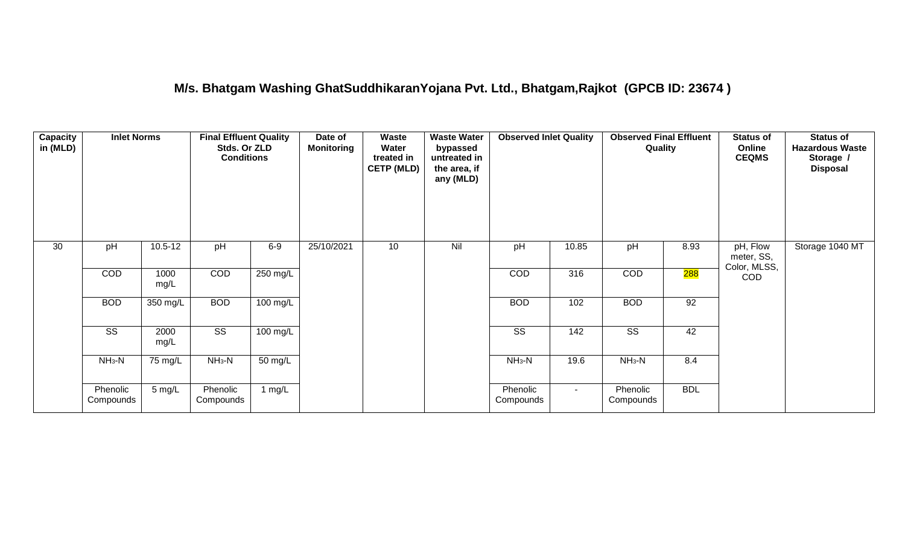#### **M/s. Bhatgam Washing GhatSuddhikaranYojana Pvt. Ltd., Bhatgam,Rajkot (GPCB ID: 23674 )**

| Capacity<br>in (MLD) | <b>Inlet Norms</b>     |                      | <b>Final Effluent Quality</b><br>Stds. Or ZLD<br><b>Conditions</b> |            | Date of<br><b>Monitoring</b> | Waste<br>Water<br>treated in<br><b>CETP (MLD)</b> | <b>Waste Water</b><br>bypassed<br>untreated in<br>the area, if<br>any (MLD) | <b>Observed Inlet Quality</b> |                 | <b>Observed Final Effluent</b><br>Quality |            | <b>Status of</b><br>Online<br><b>CEQMS</b> | <b>Status of</b><br><b>Hazardous Waste</b><br>Storage /<br><b>Disposal</b> |
|----------------------|------------------------|----------------------|--------------------------------------------------------------------|------------|------------------------------|---------------------------------------------------|-----------------------------------------------------------------------------|-------------------------------|-----------------|-------------------------------------------|------------|--------------------------------------------|----------------------------------------------------------------------------|
| 30                   | pH                     | $10.5 - 12$          | pH                                                                 | $6-9$      | 25/10/2021                   | 10                                                | Nil                                                                         | pH                            | 10.85           | pH                                        | 8.93       | pH, Flow<br>meter, SS,<br>Color, MLSS,     | Storage 1040 MT                                                            |
|                      | COD                    | 1000<br>mg/L         | COD                                                                | $250$ mg/L |                              |                                                   |                                                                             | COD                           | 316             | COD                                       | 288        | <b>COD</b>                                 |                                                                            |
|                      | <b>BOD</b>             | 350 mg/L             | <b>BOD</b>                                                         | 100 mg/L   |                              |                                                   |                                                                             | <b>BOD</b>                    | 102             | <b>BOD</b>                                | 92         |                                            |                                                                            |
|                      | $\overline{\text{ss}}$ | 2000<br>mg/L         | $\overline{\text{SS}}$                                             | 100 mg/L   |                              |                                                   |                                                                             | $\overline{\text{ss}}$        | $\frac{142}{ }$ | $\overline{\text{ss}}$                    | 42         |                                            |                                                                            |
|                      | $NH3-N$                | $\overline{75}$ mg/L | $NH3-N$                                                            | 50 mg/L    |                              |                                                   |                                                                             | $NH3-N$                       | 19.6            | $NH3-N$                                   | 8.4        |                                            |                                                                            |
|                      | Phenolic<br>Compounds  | $5 \text{ mg/L}$     | Phenolic<br>Compounds                                              | 1 mg/L     |                              |                                                   |                                                                             | Phenolic<br>Compounds         | $\sim$          | Phenolic<br>Compounds                     | <b>BDL</b> |                                            |                                                                            |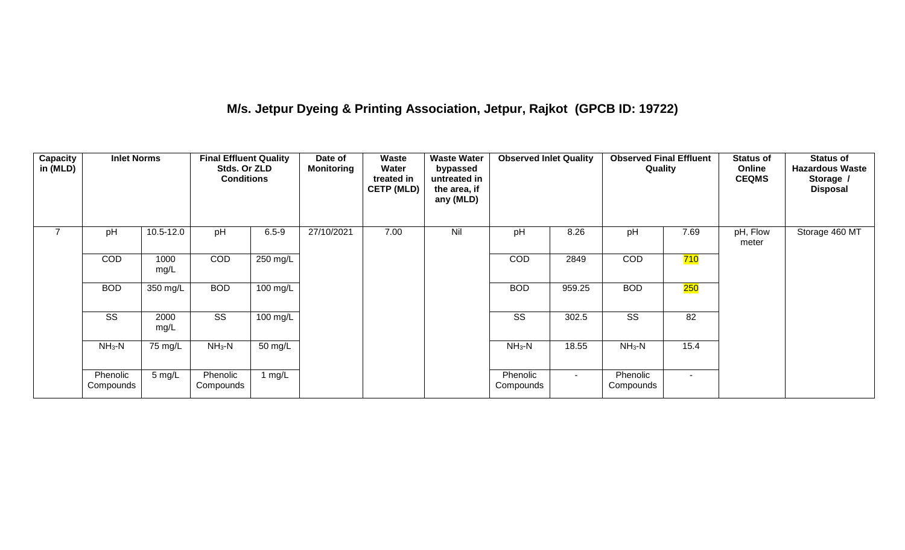## **M/s. Jetpur Dyeing & Printing Association, Jetpur, Rajkot (GPCB ID: 19722)**

| <b>Capacity</b><br>in (MLD) | <b>Inlet Norms</b>     |                  | <b>Final Effluent Quality</b><br>Stds. Or ZLD<br><b>Conditions</b> |                    | Date of<br><b>Monitoring</b> | Waste<br>Water<br>treated in<br><b>CETP (MLD)</b> | <b>Waste Water</b><br>bypassed<br>untreated in<br>the area, if<br>any (MLD) | <b>Observed Inlet Quality</b> |        | <b>Observed Final Effluent</b><br>Quality |        | <b>Status of</b><br>Online<br><b>CEQMS</b> | <b>Status of</b><br><b>Hazardous Waste</b><br>Storage /<br><b>Disposal</b> |
|-----------------------------|------------------------|------------------|--------------------------------------------------------------------|--------------------|------------------------------|---------------------------------------------------|-----------------------------------------------------------------------------|-------------------------------|--------|-------------------------------------------|--------|--------------------------------------------|----------------------------------------------------------------------------|
| $\overline{7}$              | pH                     | 10.5-12.0        | pH                                                                 | $6.5 - 9$          | 27/10/2021                   | 7.00                                              | Nil                                                                         | pH                            | 8.26   | pH                                        | 7.69   | pH, Flow<br>meter                          | Storage 460 MT                                                             |
|                             | <b>COD</b>             | 1000<br>mg/L     | <b>COD</b>                                                         | 250 mg/L           |                              |                                                   |                                                                             | <b>COD</b>                    | 2849   | <b>COD</b>                                | 710    |                                            |                                                                            |
|                             | <b>BOD</b>             | 350 mg/L         | <b>BOD</b>                                                         | $100 \text{ mg/L}$ |                              |                                                   |                                                                             | <b>BOD</b>                    | 959.25 | <b>BOD</b>                                | 250    |                                            |                                                                            |
|                             | $\overline{\text{SS}}$ | 2000<br>mg/L     | $\overline{\text{ss}}$                                             | 100 mg/L           |                              |                                                   |                                                                             | $\overline{\text{ss}}$        | 302.5  | $\overline{\text{SS}}$                    | 82     |                                            |                                                                            |
|                             | $NH3-N$                | 75 mg/L          | $NH3-N$                                                            | 50 mg/L            |                              |                                                   |                                                                             | $NH3-N$                       | 18.55  | $NH3-N$                                   | 15.4   |                                            |                                                                            |
|                             | Phenolic<br>Compounds  | $5 \text{ mg/L}$ | Phenolic<br>Compounds                                              | 1 $mg/L$           |                              |                                                   |                                                                             | Phenolic<br>Compounds         | $\sim$ | Phenolic<br>Compounds                     | $\sim$ |                                            |                                                                            |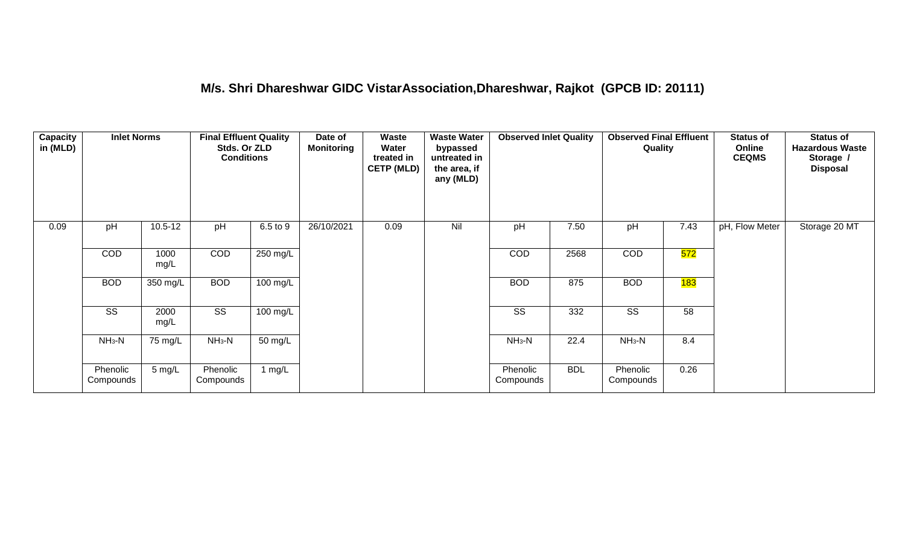#### **M/s. Shri Dhareshwar GIDC VistarAssociation,Dhareshwar, Rajkot (GPCB ID: 20111)**

| <b>Capacity</b><br>in (MLD) | <b>Inlet Norms</b>    |              | <b>Final Effluent Quality</b><br>Stds. Or ZLD<br><b>Conditions</b> |          | Date of<br><b>Monitoring</b> | Waste<br>Water<br>treated in<br><b>CETP (MLD)</b> | <b>Waste Water</b><br>bypassed<br>untreated in<br>the area, if<br>any (MLD) | <b>Observed Inlet Quality</b> |            | <b>Observed Final Effluent</b><br>Quality |      | <b>Status of</b><br>Online<br><b>CEQMS</b> | <b>Status of</b><br><b>Hazardous Waste</b><br>Storage /<br><b>Disposal</b> |
|-----------------------------|-----------------------|--------------|--------------------------------------------------------------------|----------|------------------------------|---------------------------------------------------|-----------------------------------------------------------------------------|-------------------------------|------------|-------------------------------------------|------|--------------------------------------------|----------------------------------------------------------------------------|
| 0.09                        | pH                    | $10.5 - 12$  | pH                                                                 | 6.5 to 9 | 26/10/2021                   | 0.09                                              | Nil                                                                         | pH                            | 7.50       | pH                                        | 7.43 | pH, Flow Meter                             | Storage 20 MT                                                              |
|                             | <b>COD</b>            | 1000<br>mg/L | COD                                                                | 250 mg/L |                              |                                                   |                                                                             | COD                           | 2568       | COD                                       | 572  |                                            |                                                                            |
|                             | <b>BOD</b>            | 350 mg/L     | <b>BOD</b>                                                         | 100 mg/L |                              |                                                   |                                                                             | <b>BOD</b>                    | 875        | <b>BOD</b>                                | 183  |                                            |                                                                            |
|                             | SS                    | 2000<br>mg/L | SS                                                                 | 100 mg/L |                              |                                                   |                                                                             | SS                            | 332        | SS                                        | 58   |                                            |                                                                            |
|                             | $NH3-N$               | 75 mg/L      | $NH3-N$                                                            | 50 mg/L  |                              |                                                   |                                                                             | $NH3-N$                       | 22.4       | $NH_3-N$                                  | 8.4  |                                            |                                                                            |
|                             | Phenolic<br>Compounds | 5 mg/L       | Phenolic<br>Compounds                                              | 1 $mg/L$ |                              |                                                   |                                                                             | Phenolic<br>Compounds         | <b>BDL</b> | Phenolic<br>Compounds                     | 0.26 |                                            |                                                                            |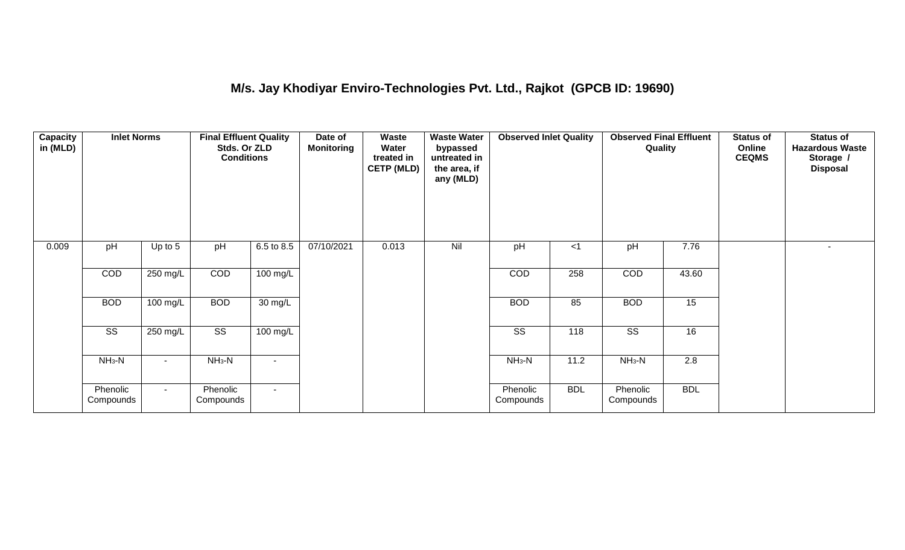## **M/s. Jay Khodiyar Enviro-Technologies Pvt. Ltd., Rajkot (GPCB ID: 19690)**

| <b>Capacity</b><br>in (MLD) | <b>Inlet Norms</b>     |           | <b>Final Effluent Quality</b><br>Stds. Or ZLD<br><b>Conditions</b> |                    | Date of<br><b>Monitoring</b> | <b>Waste</b><br>Water<br>treated in<br><b>CETP (MLD)</b> | <b>Waste Water</b><br>bypassed<br>untreated in<br>the area, if<br>any (MLD) | <b>Observed Inlet Quality</b> |            | <b>Observed Final Effluent</b><br>Quality |                  | <b>Status of</b><br>Online<br><b>CEQMS</b> | <b>Status of</b><br><b>Hazardous Waste</b><br>Storage /<br><b>Disposal</b> |
|-----------------------------|------------------------|-----------|--------------------------------------------------------------------|--------------------|------------------------------|----------------------------------------------------------|-----------------------------------------------------------------------------|-------------------------------|------------|-------------------------------------------|------------------|--------------------------------------------|----------------------------------------------------------------------------|
| 0.009                       | pH                     | Up to $5$ | pH                                                                 | 6.5 to 8.5         | 07/10/2021                   | 0.013                                                    | Nil                                                                         | pH                            | $<$ 1      | pH                                        | 7.76             |                                            | $\sim$                                                                     |
|                             | COD                    | 250 mg/L  | COD                                                                | $100 \text{ mg/L}$ |                              |                                                          |                                                                             | <b>COD</b>                    | 258        | COD                                       | 43.60            |                                            |                                                                            |
|                             | <b>BOD</b>             | 100 mg/L  | <b>BOD</b>                                                         | 30 mg/L            |                              |                                                          |                                                                             | <b>BOD</b>                    | 85         | <b>BOD</b>                                | 15               |                                            |                                                                            |
|                             | $\overline{\text{ss}}$ | 250 mg/L  | $\overline{\text{ss}}$                                             | $100 \text{ mg/L}$ |                              |                                                          |                                                                             | $\overline{\text{ss}}$        | 118        | $\overline{\text{ss}}$                    | 16               |                                            |                                                                            |
|                             | $NH3-N$                |           | $NH3-N$                                                            | $\blacksquare$     |                              |                                                          |                                                                             | $NH3-N$                       | 11.2       | $NH3-N$                                   | $\overline{2.8}$ |                                            |                                                                            |
|                             | Phenolic<br>Compounds  | $\sim$    | Phenolic<br>Compounds                                              | $\sim$             |                              |                                                          |                                                                             | Phenolic<br>Compounds         | <b>BDL</b> | Phenolic<br>Compounds                     | <b>BDL</b>       |                                            |                                                                            |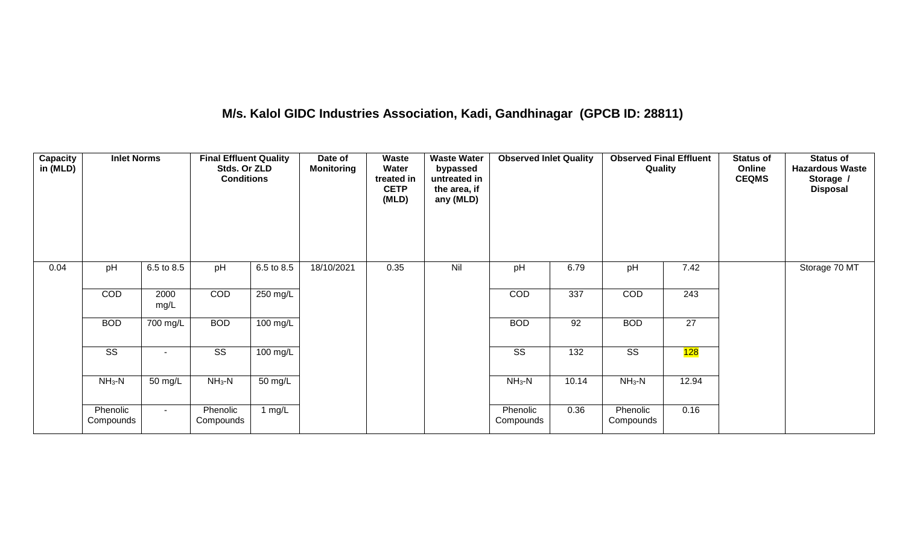## **M/s. Kalol GIDC Industries Association, Kadi, Gandhinagar (GPCB ID: 28811)**

| Capacity<br>in (MLD) | <b>Inlet Norms</b>     |              | <b>Final Effluent Quality</b><br>Stds. Or ZLD<br><b>Conditions</b> |            | Date of<br><b>Monitoring</b> | Waste<br>Water<br>treated in<br><b>CETP</b><br>(MLD) | <b>Waste Water</b><br>bypassed<br>untreated in<br>the area, if<br>any (MLD) | <b>Observed Inlet Quality</b> |                  | <b>Observed Final Effluent</b><br>Quality |                  | <b>Status of</b><br>Online<br><b>CEQMS</b> | <b>Status of</b><br><b>Hazardous Waste</b><br>Storage /<br><b>Disposal</b> |
|----------------------|------------------------|--------------|--------------------------------------------------------------------|------------|------------------------------|------------------------------------------------------|-----------------------------------------------------------------------------|-------------------------------|------------------|-------------------------------------------|------------------|--------------------------------------------|----------------------------------------------------------------------------|
| 0.04                 | pH                     | 6.5 to 8.5   | pH                                                                 | 6.5 to 8.5 | 18/10/2021                   | 0.35                                                 | Nil                                                                         | pH                            | 6.79             | pH                                        | 7.42             |                                            | Storage 70 MT                                                              |
|                      | COD                    | 2000<br>mg/L | COD                                                                | 250 mg/L   |                              |                                                      |                                                                             | COD                           | 337              | COD                                       | $\overline{243}$ |                                            |                                                                            |
|                      | <b>BOD</b>             | 700 mg/L     | <b>BOD</b>                                                         | $100$ mg/L |                              |                                                      |                                                                             | <b>BOD</b>                    | 92               | <b>BOD</b>                                | $\overline{27}$  |                                            |                                                                            |
|                      | $\overline{\text{ss}}$ | $\sim$       | $\overline{\text{ss}}$                                             | $100$ mg/L |                              |                                                      |                                                                             | $\overline{\text{ss}}$        | $\overline{132}$ | $\overline{\text{ss}}$                    | 128              |                                            |                                                                            |
|                      | $NH3-N$                | 50 mg/L      | $NH_3-N$                                                           | 50 mg/L    |                              |                                                      |                                                                             | $NH3-N$                       | 10.14            | $NH_3-N$                                  | 12.94            |                                            |                                                                            |
|                      | Phenolic<br>Compounds  | $\sim$       | Phenolic<br>Compounds                                              | 1 $mg/L$   |                              |                                                      |                                                                             | Phenolic<br>Compounds         | 0.36             | Phenolic<br>Compounds                     | 0.16             |                                            |                                                                            |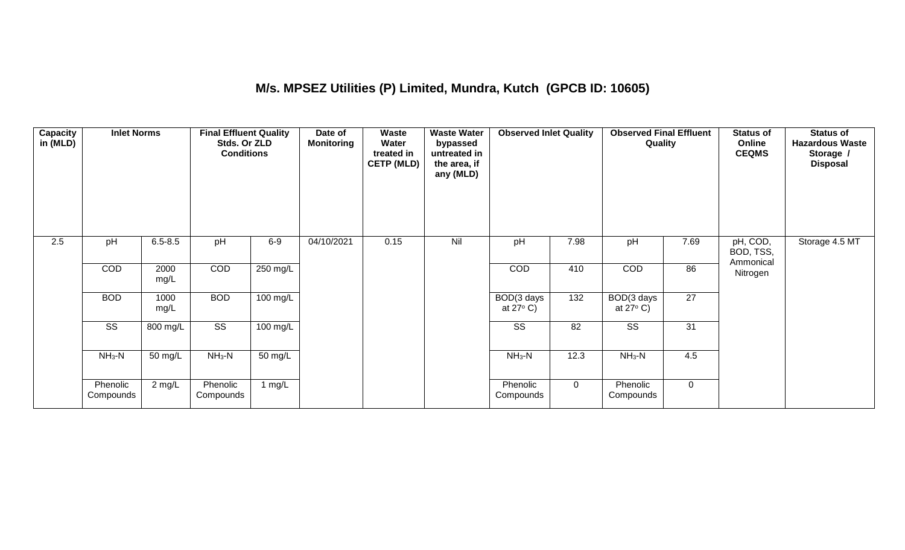## **M/s. MPSEZ Utilities (P) Limited, Mundra, Kutch (GPCB ID: 10605)**

| Capacity<br>in (MLD) | <b>Inlet Norms</b>     |                      | <b>Final Effluent Quality</b><br>Stds. Or ZLD<br><b>Conditions</b> |                      | Date of<br><b>Monitoring</b> | Waste<br>Water<br>treated in<br><b>CETP (MLD)</b> | <b>Waste Water</b><br>bypassed<br>untreated in<br>the area, if<br>any (MLD) | <b>Observed Inlet Quality</b>    |             | <b>Observed Final Effluent</b><br>Quality |                 | <b>Status of</b><br>Online<br><b>CEQMS</b> | <b>Status of</b><br><b>Hazardous Waste</b><br>Storage /<br><b>Disposal</b> |
|----------------------|------------------------|----------------------|--------------------------------------------------------------------|----------------------|------------------------------|---------------------------------------------------|-----------------------------------------------------------------------------|----------------------------------|-------------|-------------------------------------------|-----------------|--------------------------------------------|----------------------------------------------------------------------------|
| 2.5                  | pH                     | $6.5 - 8.5$          | pH                                                                 | $6-9$                | 04/10/2021                   | 0.15                                              | Nil                                                                         | pH                               | 7.98        | pH                                        | 7.69            | pH, COD,<br>BOD, TSS,<br>Ammonical         | Storage 4.5 MT                                                             |
|                      | COD                    | 2000<br>mg/L         | COD                                                                | 250 mg/L             |                              |                                                   |                                                                             | COD                              | 410         | COD                                       | 86              | Nitrogen                                   |                                                                            |
|                      | <b>BOD</b>             | 1000<br>mg/L         | <b>BOD</b>                                                         | $100 \text{ mg/L}$   |                              |                                                   |                                                                             | BOD(3 days<br>at $27^{\circ}$ C) | 132         | BOD(3 days<br>at $27^{\circ}$ C)          | $\overline{27}$ |                                            |                                                                            |
|                      | $\overline{\text{SS}}$ | 800 mg/L             | $\overline{\text{ss}}$                                             | 100 mg/L             |                              |                                                   |                                                                             | $\overline{\text{SS}}$           | 82          | $\overline{\text{SS}}$                    | 31              |                                            |                                                                            |
|                      | $NH3-N$                | $\overline{50}$ mg/L | $NH3-N$                                                            | $\overline{50}$ mg/L |                              |                                                   |                                                                             | $NH3-N$                          | 12.3        | $NH3-N$                                   | 4.5             |                                            |                                                                            |
|                      | Phenolic<br>Compounds  | $2 \text{ mg/L}$     | Phenolic<br>Compounds                                              | 1 $mg/L$             |                              |                                                   |                                                                             | Phenolic<br>Compounds            | $\mathbf 0$ | Phenolic<br>Compounds                     | $\mathbf 0$     |                                            |                                                                            |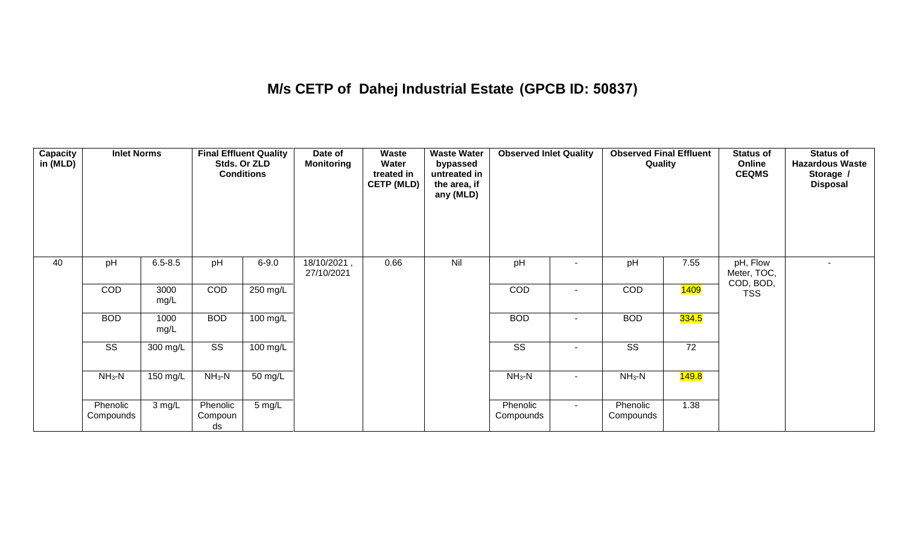## **M/s CETP of Dahej Industrial Estate (GPCB ID: 50837)**

| <b>Capacity</b><br>in (MLD) | <b>Inlet Norms</b>     |              |                           | <b>Final Effluent Quality</b><br>Stds. Or ZLD<br><b>Conditions</b> | Date of<br><b>Monitoring</b> | Waste<br>Water<br>treated in<br><b>CETP (MLD)</b> | <b>Waste Water</b><br>bypassed<br>untreated in<br>the area, if<br>any (MLD) | <b>Observed Inlet Quality</b> |                | <b>Observed Final Effluent</b><br>Quality |                    | <b>Status of</b><br>Online<br><b>CEQMS</b> | Status of<br><b>Hazardous Waste</b><br>Storage /<br><b>Disposal</b> |
|-----------------------------|------------------------|--------------|---------------------------|--------------------------------------------------------------------|------------------------------|---------------------------------------------------|-----------------------------------------------------------------------------|-------------------------------|----------------|-------------------------------------------|--------------------|--------------------------------------------|---------------------------------------------------------------------|
| 40                          | pH                     | $6.5 - 8.5$  | pH                        | $6 - 9.0$                                                          | 18/10/2021,<br>27/10/2021    | 0.66                                              | Nil                                                                         | pH                            |                | pH                                        | 7.55               | pH, Flow<br>Meter, TOC,                    |                                                                     |
|                             | COD                    | 3000<br>mg/L | COD                       | $250$ mg/L                                                         |                              |                                                   |                                                                             | COD                           | $\blacksquare$ | COD                                       | <mark>1409</mark>  | COD, BOD,<br><b>TSS</b>                    |                                                                     |
|                             | <b>BOD</b>             | 1000<br>mg/L | <b>BOD</b>                | 100 mg/L                                                           |                              |                                                   |                                                                             | <b>BOD</b>                    |                | <b>BOD</b>                                | 334.5              |                                            |                                                                     |
|                             | $\overline{\text{ss}}$ | 300 mg/L     | $\overline{\text{SS}}$    | $100 \text{ mg/L}$                                                 |                              |                                                   |                                                                             | $\overline{\text{SS}}$        |                | $\overline{\text{SS}}$                    | 72                 |                                            |                                                                     |
|                             | $NH3-N$                | 150 mg/L     | $NH3-N$                   | 50 mg/L                                                            |                              |                                                   |                                                                             | $NH3-N$                       | $\sim$         | $NH3-N$                                   | <mark>149.8</mark> |                                            |                                                                     |
|                             | Phenolic<br>Compounds  | 3 mg/L       | Phenolic<br>Compoun<br>ds | 5 mg/L                                                             |                              |                                                   |                                                                             | Phenolic<br>Compounds         | $\sim$         | Phenolic<br>Compounds                     | 1.38               |                                            |                                                                     |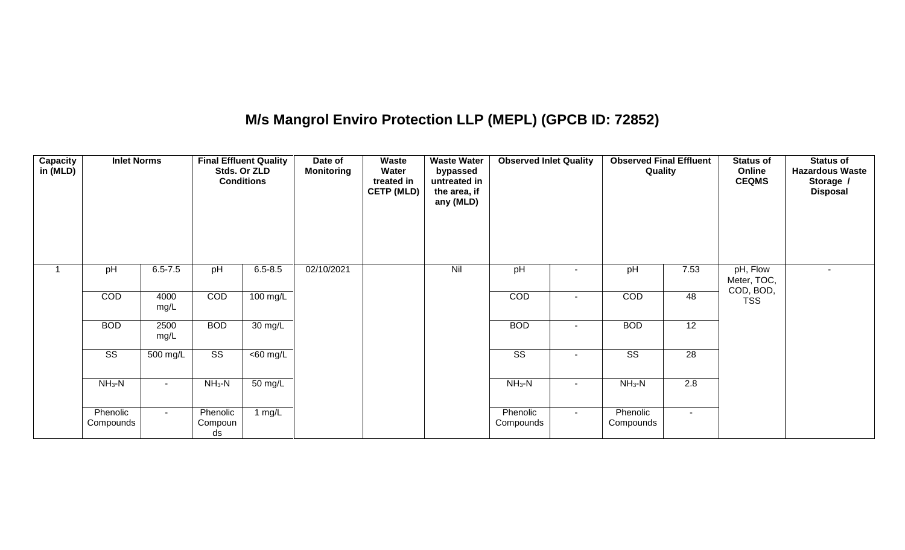## **M/s Mangrol Enviro Protection LLP (MEPL) (GPCB ID: 72852)**

| <b>Capacity</b><br>in (MLD) | <b>Inlet Norms</b>     |              |                           | <b>Final Effluent Quality</b><br>Stds. Or ZLD<br><b>Conditions</b> | Date of<br><b>Monitoring</b> | Waste<br>Water<br>treated in<br><b>CETP (MLD)</b> | <b>Waste Water</b><br>bypassed<br>untreated in<br>the area, if<br>any (MLD) | <b>Observed Inlet Quality</b> |        | <b>Observed Final Effluent</b><br>Quality |                 | <b>Status of</b><br>Online<br><b>CEQMS</b> | <b>Status of</b><br><b>Hazardous Waste</b><br>Storage /<br><b>Disposal</b> |
|-----------------------------|------------------------|--------------|---------------------------|--------------------------------------------------------------------|------------------------------|---------------------------------------------------|-----------------------------------------------------------------------------|-------------------------------|--------|-------------------------------------------|-----------------|--------------------------------------------|----------------------------------------------------------------------------|
|                             | pH                     | $6.5 - 7.5$  | pH                        | $6.5 - 8.5$                                                        | 02/10/2021                   |                                                   | Nil                                                                         | pH                            |        | pH                                        | 7.53            | pH, Flow<br>Meter, TOC,<br>COD, BOD,       | $\sim$                                                                     |
|                             | COD                    | 4000<br>mg/L | COD                       | $100$ mg/L                                                         |                              |                                                   |                                                                             | COD                           | $\sim$ | COD                                       | 48              | <b>TSS</b>                                 |                                                                            |
|                             | <b>BOD</b>             | 2500<br>mg/L | <b>BOD</b>                | 30 mg/L                                                            |                              |                                                   |                                                                             | <b>BOD</b>                    | $\sim$ | <b>BOD</b>                                | $\overline{12}$ |                                            |                                                                            |
|                             | $\overline{\text{SS}}$ | 500 mg/L     | $\overline{\text{ss}}$    | $\overline{<}60$ mg/L                                              |                              |                                                   |                                                                             | $\overline{\text{SS}}$        |        | $\overline{\text{SS}}$                    | 28              |                                            |                                                                            |
|                             | $NH3-N$                | $\sim$       | $NH_3-N$                  | 50 mg/L                                                            |                              |                                                   |                                                                             | $NH3-N$                       | $\sim$ | $NH3-N$                                   | 2.8             |                                            |                                                                            |
|                             | Phenolic<br>Compounds  | $\sim$       | Phenolic<br>Compoun<br>ds | 1 $mg/L$                                                           |                              |                                                   |                                                                             | Phenolic<br>Compounds         | $\sim$ | Phenolic<br>Compounds                     | $\sim$          |                                            |                                                                            |